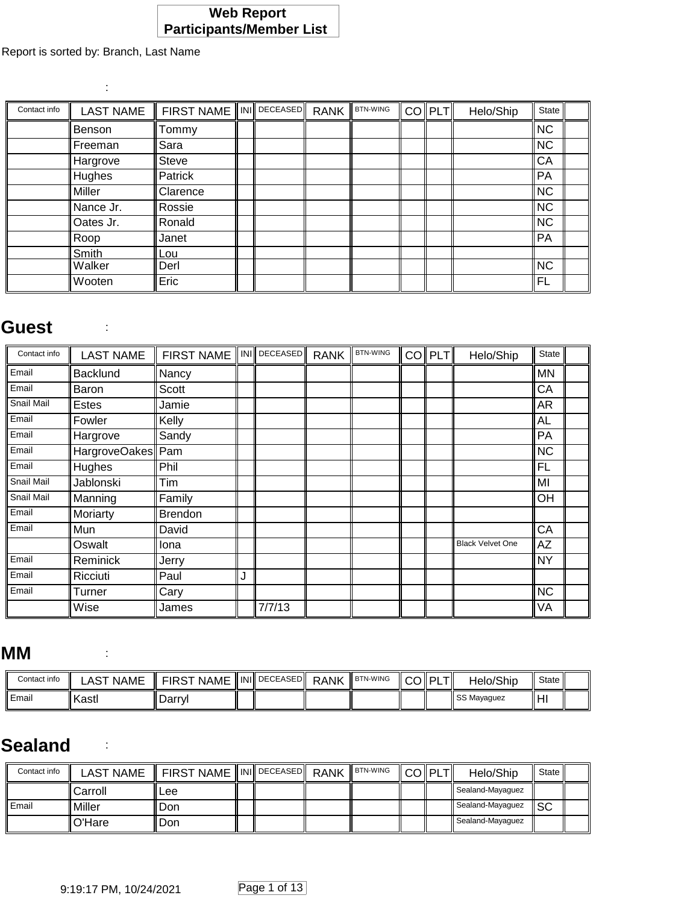#### **Web Report Participants/Member List**

Report is sorted by: Branch, Last Name

:

| Contact info | <b>LAST NAME</b> | <b>FIRST NAME</b> | INI∥DECEASED∥ | <b>RANK</b> | <b>BTN-WING</b> | <b>COIPLTI</b> | Helo/Ship | State     |  |
|--------------|------------------|-------------------|---------------|-------------|-----------------|----------------|-----------|-----------|--|
|              | Benson           | Tommy             |               |             |                 |                |           | <b>NC</b> |  |
|              | Freeman          | Sara              |               |             |                 |                |           | <b>NC</b> |  |
|              | Hargrove         | Steve             |               |             |                 |                |           | CA        |  |
|              | Hughes           | Patrick           |               |             |                 |                |           | PA        |  |
|              | Miller           | Clarence          |               |             |                 |                |           | <b>NC</b> |  |
|              | Nance Jr.        | Rossie            |               |             |                 |                |           | <b>NC</b> |  |
|              | Oates Jr.        | Ronald            |               |             |                 |                |           | <b>NC</b> |  |
|              | Roop             | Janet             |               |             |                 |                |           | PA        |  |
|              | Smith            | Lou               |               |             |                 |                |           |           |  |
|              | Walker           | Derl              |               |             |                 |                |           | <b>NC</b> |  |
|              | Wooten           | Eric              |               |             |                 |                |           | FL        |  |

#### **Guest** :

| Contact info | <b>LAST NAME</b>  | <b>FIRST NAME</b> |   | INI DECEASED | <b>RANK</b> | <b>BTN-WING</b> | CO PLT | Helo/Ship               | State     |  |
|--------------|-------------------|-------------------|---|--------------|-------------|-----------------|--------|-------------------------|-----------|--|
| Email        | <b>Backlund</b>   | Nancy             |   |              |             |                 |        |                         | <b>MN</b> |  |
| Email        | Baron             | <b>Scott</b>      |   |              |             |                 |        |                         | CA        |  |
| Snail Mail   | <b>Estes</b>      | Jamie             |   |              |             |                 |        |                         | AR        |  |
| Email        | Fowler            | Kelly             |   |              |             |                 |        |                         | <b>AL</b> |  |
| Email        | Hargrove          | Sandy             |   |              |             |                 |        |                         | PA        |  |
| Email        | HargroveOakes Pam |                   |   |              |             |                 |        |                         | <b>NC</b> |  |
| Email        | Hughes            | Phil              |   |              |             |                 |        |                         | <b>FL</b> |  |
| Snail Mail   | Jablonski         | Tim               |   |              |             |                 |        |                         | MI        |  |
| Snail Mail   | Manning           | Family            |   |              |             |                 |        |                         | OH        |  |
| Email        | Moriarty          | <b>Brendon</b>    |   |              |             |                 |        |                         |           |  |
| Email        | Mun               | David             |   |              |             |                 |        |                         | CA        |  |
|              | Oswalt            | Iona              |   |              |             |                 |        | <b>Black Velvet One</b> | AZ        |  |
| Email        | Reminick          | Jerry             |   |              |             |                 |        |                         | <b>NY</b> |  |
| Email        | Ricciuti          | Paul              | J |              |             |                 |        |                         |           |  |
| Email        | Turner            | Cary              |   |              |             |                 |        |                         | <b>NC</b> |  |
|              | Wise              | James             |   | 7/7/13       |             |                 |        |                         | VA        |  |

#### **MM** :

| Contact info   | LAST NAME | I FIRST NAME ∥INI∥ <sup>DECEASED</sup> ∥ RANK |  | ∣ BTN-WING | II COII PLTII | Helo/Ship   | State   |  |
|----------------|-----------|-----------------------------------------------|--|------------|---------------|-------------|---------|--|
| <b>I</b> Email | ll Kastl  | .Darrvl                                       |  |            |               | SS Mayaquez | - II H' |  |

#### **Sealand** :

| Contact info | LAST NAME        | $\parallel$ FIRST NAME $\parallel$ INI $\parallel$ DECEASED $\parallel$ RANK |  | <b>BTN-WING</b> | $\ CO\ PLT\ $ | Helo/Ship               | State |  |
|--------------|------------------|------------------------------------------------------------------------------|--|-----------------|---------------|-------------------------|-------|--|
|              | <b>I</b> Carroll | l Lee                                                                        |  |                 |               | ll Sealand-Mayaquez     |       |  |
| l Email      | Miller           | l Don                                                                        |  |                 |               | <b>Sealand-Mayaguez</b> | ll SC |  |
|              | l O'Hare         | l Don                                                                        |  |                 |               | Sealand-Mayaquez        |       |  |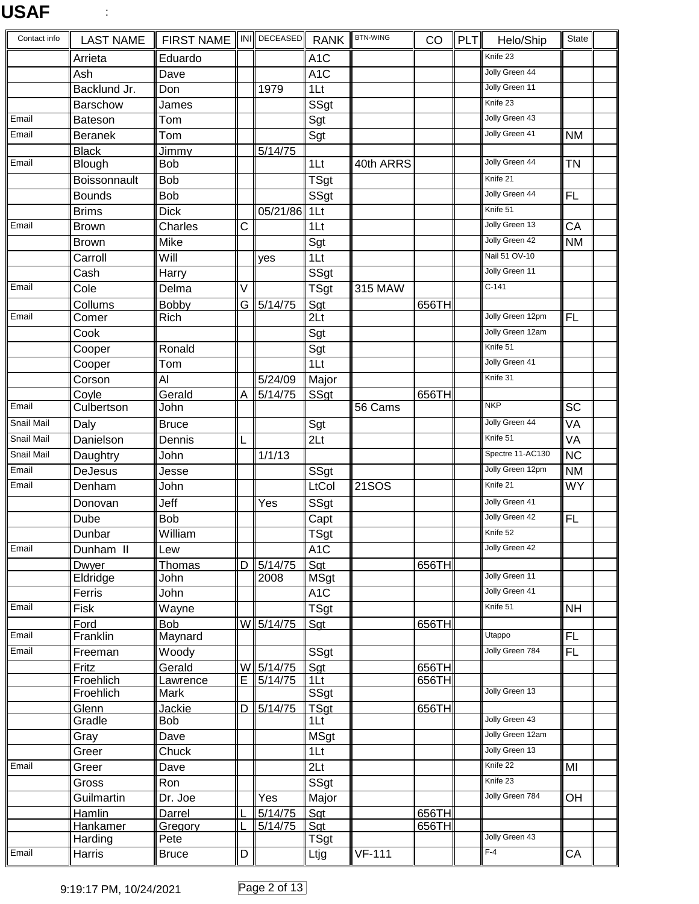# **USAF** :

| Contact info      | <b>LAST NAME</b> | <b>FIRST NAME</b> |                   | INI DECEASED         | <b>RANK</b>              | <b>BTN-WING</b> | CO    | <b>PLT</b> | Helo/Ship        | State                  |  |
|-------------------|------------------|-------------------|-------------------|----------------------|--------------------------|-----------------|-------|------------|------------------|------------------------|--|
|                   | Arrieta          | Eduardo           |                   |                      | A <sub>1</sub> C         |                 |       |            | Knife 23         |                        |  |
|                   | Ash              | Dave              |                   |                      | A <sub>1</sub> C         |                 |       |            | Jolly Green 44   |                        |  |
|                   | Backlund Jr.     | Don               |                   | 1979                 | 1Lt                      |                 |       |            | Jolly Green 11   |                        |  |
|                   | Barschow         | James             |                   |                      | <b>SSgt</b>              |                 |       |            | Knife 23         |                        |  |
| Email             | <b>Bateson</b>   | Tom               |                   |                      | Sgt                      |                 |       |            | Jolly Green 43   |                        |  |
| Email             | <b>Beranek</b>   | Tom               |                   |                      | Sgt                      |                 |       |            | Jolly Green 41   | <b>NM</b>              |  |
|                   | <b>Black</b>     | Jimmy             |                   | $\overline{5}/14/75$ |                          |                 |       |            |                  |                        |  |
| Email             | Blough           | <b>Bob</b>        |                   |                      | 1 <sub>It</sub>          | 40th ARRS       |       |            | Jolly Green 44   | ΤN                     |  |
|                   | Boissonnault     | <b>Bob</b>        |                   |                      | TSgt                     |                 |       |            | Knife 21         |                        |  |
|                   | <b>Bounds</b>    | <b>Bob</b>        |                   |                      | SSgt                     |                 |       |            | Jolly Green 44   | <b>FL</b>              |  |
|                   | <b>Brims</b>     | <b>Dick</b>       |                   | 05/21/86             | 1 <sup>L</sup>           |                 |       |            | Knife 51         |                        |  |
| Email             | <b>Brown</b>     | Charles           | C                 |                      | 1Lt                      |                 |       |            | Jolly Green 13   | CA                     |  |
|                   | <b>Brown</b>     | Mike              |                   |                      | Sgt                      |                 |       |            | Jolly Green 42   | <b>NM</b>              |  |
|                   | Carroll          | Will              |                   | yes                  | 1 <sup>L</sup>           |                 |       |            | Nail 51 OV-10    |                        |  |
|                   | Cash             | Harry             |                   |                      | SSgt                     |                 |       |            | Jolly Green 11   |                        |  |
| Email             | Cole             | Delma             | $\overline{\vee}$ |                      | <b>TSgt</b>              | 315 MAW         |       |            | $C-141$          |                        |  |
|                   | Collums          | Bobby             | G                 | 5/14/75              | Sgt                      |                 | 656TH |            |                  |                        |  |
| Email             | Comer            | Rich              |                   |                      | 2 <sub>Lt</sub>          |                 |       |            | Jolly Green 12pm | <b>FL</b>              |  |
|                   | Cook             |                   |                   |                      | Sgt                      |                 |       |            | Jolly Green 12am |                        |  |
|                   | Cooper           | Ronald            |                   |                      | Sgt                      |                 |       |            | Knife 51         |                        |  |
|                   | Cooper           | Tom               |                   |                      | 1 <sub>Lt</sub>          |                 |       |            | Jolly Green 41   |                        |  |
|                   | Corson           | Al                |                   | 5/24/09              | Major                    |                 |       |            | Knife 31         |                        |  |
|                   | Coyle            | Gerald            | A                 | 5/14/75              | <b>SSgt</b>              |                 | 656TH |            |                  |                        |  |
| Email             | Culbertson       | John              |                   |                      |                          | 56 Cams         |       |            | <b>NKP</b>       | $\overline{SC}$        |  |
| Snail Mail        | Daly             | <b>Bruce</b>      |                   |                      | Sgt                      |                 |       |            | Jolly Green 44   | VA                     |  |
| Snail Mail        | Danielson        | Dennis            | L                 |                      | 2 <sub>Lt</sub>          |                 |       |            | Knife 51         | <b>VA</b>              |  |
| <b>Snail Mail</b> | Daughtry         | John              |                   | 1/1/13               |                          |                 |       |            | Spectre 11-AC130 | $\overline{\text{NC}}$ |  |
| Email             | DeJesus          | Jesse             |                   |                      | SSgt                     |                 |       |            | Jolly Green 12pm | <b>NM</b>              |  |
| Email             | Denham           | John              |                   |                      | LtCol                    | <b>21SOS</b>    |       |            | Knife 21         | <b>WY</b>              |  |
|                   |                  |                   |                   |                      |                          |                 |       |            | Jolly Green 41   |                        |  |
|                   | Donovan          | Jeff              |                   | Yes                  | SSgt                     |                 |       |            | Jolly Green 42   |                        |  |
|                   | Dube             | <b>Bob</b>        |                   |                      | Capt                     |                 |       |            | Knife 52         | $\overline{FL}$        |  |
|                   | Dunbar           | William           |                   |                      | $\overline{\text{TSgt}}$ |                 |       |            | Jolly Green 42   |                        |  |
| Email             | Dunham II        | Lew               |                   |                      | A <sub>1</sub> C         |                 |       |            |                  |                        |  |
|                   | Dwyer            | Thomas            | D                 | 5/14/75<br>2008      | Sgt                      |                 | 656TH |            | Jolly Green 11   |                        |  |
|                   | Eldridge         | John              |                   |                      | MSgt                     |                 |       |            | Jolly Green 41   |                        |  |
| Email             | Ferris<br>Fisk   | John              |                   |                      | A <sub>1</sub> C         |                 |       |            | Knife 51         |                        |  |
|                   | Ford             | Wayne             |                   |                      | <b>TSgt</b>              |                 |       |            |                  | <b>NH</b>              |  |
| Email             | Franklin         | Bob<br>Maynard    |                   | W 5/14/75            | Sgt                      |                 | 656TH |            | <b>Utappo</b>    | FL.                    |  |
| Email             | Freeman          | Woody             |                   |                      | SSgt                     |                 |       |            | Jolly Green 784  | $\overline{FL}$        |  |
|                   | Fritz            | Gerald            |                   | W 5/14/75            | Sgt                      |                 | 656TH |            |                  |                        |  |
|                   | Froehlich        | Lawrence          | E                 | 5/14/75              | 1 <sub>kt</sub>          |                 | 656TH |            |                  |                        |  |
|                   | Froehlich        | Mark              |                   |                      | SSgt                     |                 |       |            | Jolly Green 13   |                        |  |
|                   | Glenn            | Jackie            | D                 | 5/14/75              | <b>TSgt</b>              |                 | 656TH |            |                  |                        |  |
|                   | Gradle           | Bob               |                   |                      | 1 <sub>It</sub>          |                 |       |            | Jolly Green 43   |                        |  |
|                   | Gray             | Dave              |                   |                      | <b>MSgt</b>              |                 |       |            | Jolly Green 12am |                        |  |
|                   | Greer            | Chuck             |                   |                      | 1 <sup>L</sup>           |                 |       |            | Jolly Green 13   |                        |  |
| Email             | Greer            | Dave              |                   |                      | 2 <sub>Lt</sub>          |                 |       |            | Knife 22         | $\overline{MI}$        |  |
|                   | Gross            | Ron               |                   |                      | SSgt                     |                 |       |            | Knife 23         |                        |  |
|                   | Guilmartin       | Dr. Joe           |                   | Yes                  | Major                    |                 |       |            | Jolly Green 784  | OH                     |  |
|                   | Hamlin           | Darrel            |                   | 5/14/75              | Sgt                      |                 | 656TH |            |                  |                        |  |
|                   | Hankamer         | Gregory           |                   | $\sqrt{5/14/75}$     | Sgt                      |                 | 656TH |            |                  |                        |  |
|                   | Harding          | Pete              |                   |                      | TSgt                     |                 |       |            | Jolly Green 43   |                        |  |
| Email             | Harris           | <b>Bruce</b>      | D                 |                      | Ltjg                     | $VF-111$        |       |            | $F-4$            | CA                     |  |

9:19:17 PM, 10/24/2021 Page 2 of 13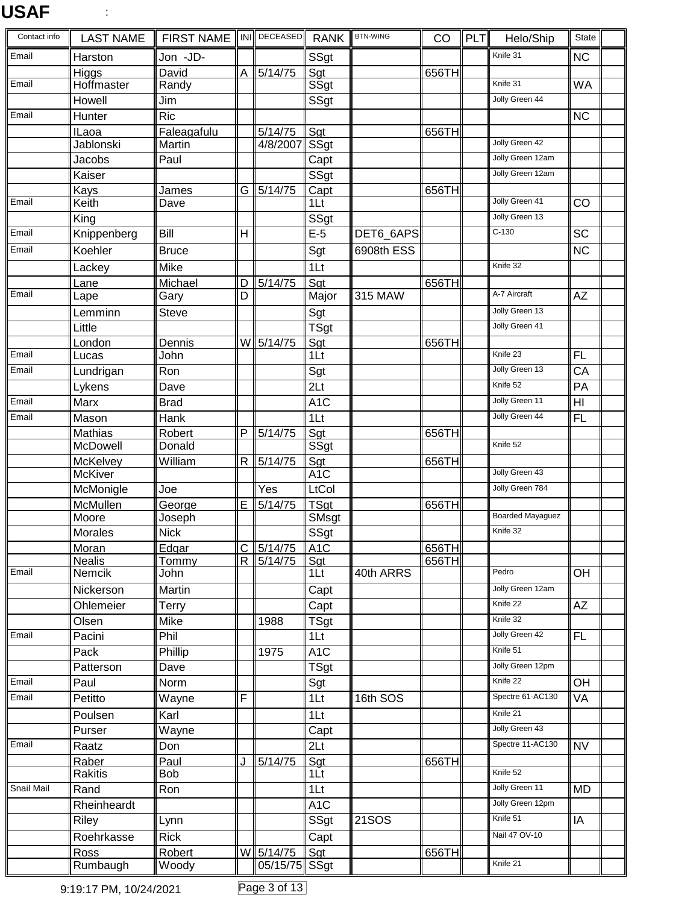# **USAF** :

| Contact info | <b>LAST NAME</b>        | <b>FIRST NAME</b> |                | INI DECEASED     | <b>RANK</b>       | <b>BTN-WING</b> | CO    | <b>PLT</b> | Helo/Ship               | State                  |
|--------------|-------------------------|-------------------|----------------|------------------|-------------------|-----------------|-------|------------|-------------------------|------------------------|
| Email        | Harston                 | Jon -JD-          |                |                  | SSgt              |                 |       |            | Knife 31                | <b>NC</b>              |
|              | Higgs                   | David             | A              | 5/14/75          | Sgt               |                 | 656TH |            |                         |                        |
| Email        | Hoffmaster              | Randy             |                |                  | SSgt              |                 |       |            | Knife 31                | <b>WA</b>              |
|              | Howell                  | Jim               |                |                  | SSgt              |                 |       |            | Jolly Green 44          |                        |
| Email        | Hunter                  | <b>Ric</b>        |                |                  |                   |                 |       |            |                         | <b>NC</b>              |
|              | <b>ILaoa</b>            | Faleagafulu       |                | $\sqrt{5}/14/75$ | Sgt               |                 | 656TH |            | Jolly Green 42          |                        |
|              | Jablonski               | Martin            |                | 4/8/2007         | SSgt              |                 |       |            | Jolly Green 12am        |                        |
|              | Jacobs                  | Paul              |                |                  | Capt              |                 |       |            | Jolly Green 12am        |                        |
|              | Kaiser                  |                   |                |                  | SSgt              |                 |       |            |                         |                        |
| Email        | Kays<br>Keith           | James<br>Dave     | G              | 5/14/75          | Capt<br>1Lt       |                 | 656TH |            | Jolly Green 41          | CO                     |
|              | King                    |                   |                |                  | SSgt              |                 |       |            | Jolly Green 13          |                        |
| Email        | Knippenberg             | Bill              | $\overline{H}$ |                  | $E-5$             | DET6_6APS       |       |            | $C-130$                 | <b>SC</b>              |
| Email        | Koehler                 | <b>Bruce</b>      |                |                  | Sgt               | 6908th ESS      |       |            |                         | $\overline{\text{NC}}$ |
|              |                         |                   |                |                  |                   |                 |       |            | Knife 32                |                        |
|              | Lackey                  | Mike              |                |                  | 1 <sub>It</sub>   |                 |       |            |                         |                        |
| Email        | Lane<br>Lape            | Michael<br>Gary   | D<br>D         | 5/14/75          | Sgt<br>Major      | <b>315 MAW</b>  | 656TH |            | A-7 Aircraft            | AZ                     |
|              |                         | <b>Steve</b>      |                |                  |                   |                 |       |            | Jolly Green 13          |                        |
|              | Lemminn<br>Little       |                   |                |                  | Sgt               |                 |       |            | Jolly Green 41          |                        |
|              | London                  | Dennis            |                | W 5/14/75        | TSgt<br>Sgt       |                 | 656TH |            |                         |                        |
| Email        | Lucas                   | John              |                |                  | 1Lt               |                 |       |            | Knife 23                | <b>FL</b>              |
| Email        | Lundrigan               | Ron               |                |                  | Sgt               |                 |       |            | Jolly Green 13          | CA                     |
|              | Lykens                  | Dave              |                |                  | 2Lt               |                 |       |            | Knife 52                | $\overline{PA}$        |
| Email        | Marx                    | <b>Brad</b>       |                |                  | $\overline{A1C}$  |                 |       |            | Jolly Green 11          | $\overline{H}$         |
| Email        | Mason                   | Hank              |                |                  | 1Lt               |                 |       |            | Jolly Green 44          | FL                     |
|              | Mathias                 | Robert            | P              | 5/14/75          | Sgt               |                 | 656TH |            |                         |                        |
|              | McDowell                | Donald            |                |                  | SSgt              |                 |       |            | Knife 52                |                        |
|              | McKelvey                | William           | $\mathsf{R}$   | 5/14/75          | Sgt               |                 | 656TH |            |                         |                        |
|              | <b>McKiver</b>          |                   |                |                  | A1C               |                 |       |            | Jolly Green 43          |                        |
|              | McMonigle               | Joe               |                | Yes              | LtCol             |                 |       |            | Jolly Green 784         |                        |
|              | McMullen                | George            | E              | 5/14/75          | TSgt              |                 | 656TH |            |                         |                        |
|              | Moore                   | Joseph            |                |                  | SMsgt             |                 |       |            | <b>Boarded Mayaguez</b> |                        |
|              | Morales                 | <b>Nick</b>       |                |                  | SSgt              |                 |       |            | Knife 32                |                        |
|              | Moran                   | Edgar             | $\mathbf C$    | $\frac{15}{14}$  | A1C               |                 | 656TH |            |                         |                        |
| Email        | <b>Nealis</b><br>Nemcik | Tommy<br>John     | R              | 5/14/75          | <u>Sgt</u><br>1Lt | 40th ARRS       | 656TH |            | Pedro                   | <b>OH</b>              |
|              | Nickerson               | Martin            |                |                  |                   |                 |       |            | Jolly Green 12am        |                        |
|              | Ohlemeier               | Terry             |                |                  | Capt<br>Capt      |                 |       |            | Knife 22                | AZ                     |
|              | Olsen                   | Mike              |                | 1988             | TSgt              |                 |       |            | Knife 32                |                        |
| Email        | Pacini                  | Phil              |                |                  | 1Lt               |                 |       |            | Jolly Green 42          | FL                     |
|              | Pack                    | Phillip           |                | 1975             | A <sub>1</sub> C  |                 |       |            | Knife 51                |                        |
|              | Patterson               | Dave              |                |                  | TSgt              |                 |       |            | Jolly Green 12pm        |                        |
| Email        | Paul                    | Norm              |                |                  | Sgt               |                 |       |            | Knife 22                | OH                     |
| Email        | Petitto                 | Wayne             | F              |                  | 1Lt               | 16th SOS        |       |            | Spectre 61-AC130        | VA                     |
|              | Poulsen                 | Karl              |                |                  | 1 <sub>Lt</sub>   |                 |       |            | Knife 21                |                        |
|              | Purser                  | Wayne             |                |                  |                   |                 |       |            | Jolly Green 43          |                        |
| Email        |                         |                   |                |                  | Capt              |                 |       |            | Spectre 11-AC130        | <b>NV</b>              |
|              | Raatz<br>Raber          | Don<br>Paul       |                |                  | 2Lt<br>Sgt        |                 | 656TH |            |                         |                        |
|              | Rakitis                 | <b>Bob</b>        | J              | 5/14/75          | 1Lt               |                 |       |            | Knife 52                |                        |
| Snail Mail   | Rand                    | Ron               |                |                  | 1 <sub>2</sub>    |                 |       |            | Jolly Green 11          | <b>MD</b>              |
|              | Rheinheardt             |                   |                |                  | A <sub>1</sub> C  |                 |       |            | Jolly Green 12pm        |                        |
|              | Riley                   | Lynn              |                |                  | SSgt              | <b>21SOS</b>    |       |            | Knife 51                | IA                     |
|              | Roehrkasse              | <b>Rick</b>       |                |                  | Capt              |                 |       |            | Nail 47 OV-10           |                        |
|              | Ross                    | Robert            |                | W 5/14/75        | Sgt               |                 | 656TH |            |                         |                        |
|              | Rumbaugh                | Woody             |                | 05/15/75 Sgt     |                   |                 |       |            | Knife 21                |                        |

9:19:17 PM, 10/24/2021 Page 3 of 13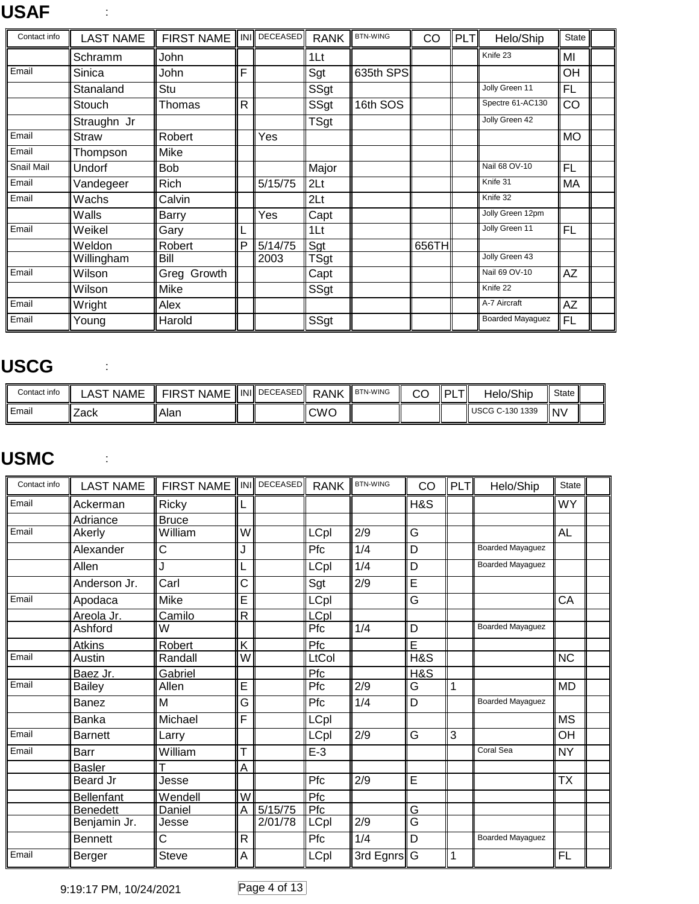# **USAF** :

| Contact info | <b>LAST NAME</b> | <b>FIRST NAME</b> |   | INI DECEASED | <b>RANK</b>     | <b>BTN-WING</b> | CO    | <b>PLT</b> | Helo/Ship               | <b>State</b> |  |
|--------------|------------------|-------------------|---|--------------|-----------------|-----------------|-------|------------|-------------------------|--------------|--|
|              | Schramm          | John              |   |              | 1Lt             |                 |       |            | Knife 23                | MI           |  |
| Email        | Sinica           | John              | F |              | Sgt             | 635th SPS       |       |            |                         | OH           |  |
|              | Stanaland        | Stu               |   |              | SSgt            |                 |       |            | Jolly Green 11          | <b>FL</b>    |  |
|              | Stouch           | Thomas            | R |              | SSgt            | 16th SOS        |       |            | Spectre 61-AC130        | CO           |  |
|              | Straughn Jr      |                   |   |              | <b>TSgt</b>     |                 |       |            | Jolly Green 42          |              |  |
| Email        | <b>Straw</b>     | Robert            |   | Yes          |                 |                 |       |            |                         | <b>MO</b>    |  |
| Email        | Thompson         | Mike              |   |              |                 |                 |       |            |                         |              |  |
| Snail Mail   | Undorf           | <b>Bob</b>        |   |              | Major           |                 |       |            | Nail 68 OV-10           | <b>FL</b>    |  |
| Email        | Vandegeer        | <b>Rich</b>       |   | 5/15/75      | 2 <sub>Lt</sub> |                 |       |            | Knife 31                | MA           |  |
| Email        | Wachs            | Calvin            |   |              | 2Lt             |                 |       |            | Knife 32                |              |  |
|              | Walls            | <b>Barry</b>      |   | Yes          | Capt            |                 |       |            | Jolly Green 12pm        |              |  |
| Email        | Weikel           | Gary              | L |              | 1Lt             |                 |       |            | Jolly Green 11          | <b>FL</b>    |  |
|              | Weldon           | Robert            | P | 5/14/75      | Sgt             |                 | 656TH |            |                         |              |  |
|              | Willingham       | Bill              |   | 2003         | TSgt            |                 |       |            | Jolly Green 43          |              |  |
| Email        | Wilson           | Greg Growth       |   |              | Capt            |                 |       |            | Nail 69 OV-10           | AZ           |  |
|              | Wilson           | Mike              |   |              | SSgt            |                 |       |            | Knife 22                |              |  |
| Email        | Wright           | Alex              |   |              |                 |                 |       |            | A-7 Aircraft            | AZ           |  |
| Email        | Young            | Harold            |   |              | SSgt            |                 |       |            | <b>Boarded Mayaguez</b> | FL           |  |

#### **USCG** :

| Contact info | <b>NAME</b><br>AS | <b>NAME</b><br><b>FIRS</b> | IINII DECEASEDI | <b>RANK</b> | <b>BTN-WING</b> | ⌒⌒<br>UU | DI | Helo/Ship       | State     |  |
|--------------|-------------------|----------------------------|-----------------|-------------|-----------------|----------|----|-----------------|-----------|--|
| l Email      | 'Zack             | Alan                       |                 | <b>CWC</b>  |                 |          |    | USCG C-130 1339 | <b>NV</b> |  |

#### **USMC** :

| Contact info | <b>LAST NAME</b> | <b>FIRST NAME</b> |                         | INI DECEASED | <b>RANK</b> | <b>BTN-WING</b>  | CO                      | <b>PLT</b> | Helo/Ship               | <b>State</b> |  |
|--------------|------------------|-------------------|-------------------------|--------------|-------------|------------------|-------------------------|------------|-------------------------|--------------|--|
| Email        | Ackerman         | Ricky             |                         |              |             |                  | H&S                     |            |                         | <b>WY</b>    |  |
|              | Adriance         | <b>Bruce</b>      |                         |              |             |                  |                         |            |                         |              |  |
| Email        | Akerly           | William           | wl                      |              | LCpl        | 2/9              | G                       |            |                         | <b>AL</b>    |  |
|              | Alexander        | C                 | J                       |              | Pfc         | 1/4              | D                       |            | <b>Boarded Mayaguez</b> |              |  |
|              | Allen            |                   |                         |              | LCpl        | 1/4              | D                       |            | <b>Boarded Mayaquez</b> |              |  |
|              | Anderson Jr.     | Carl              | Ć                       |              | Sgt         | 2/9              | E                       |            |                         |              |  |
| Email        | Apodaca          | Mike              | E                       |              | LCpl        |                  | G                       |            |                         | CA           |  |
|              | Areola Jr.       | Camilo            | R                       |              | LCpl        |                  |                         |            |                         |              |  |
|              | Ashford          | W                 |                         |              | Pfc         | 1/4              | D                       |            | <b>Boarded Mayaguez</b> |              |  |
|              | <b>Atkins</b>    | Robert            | K                       |              | Pfc         |                  | Ē                       |            |                         |              |  |
| Email        | Austin           | Randall           | $\overline{\mathsf{W}}$ |              | LtCol       |                  | <b>H&amp;S</b>          |            |                         | <b>NC</b>    |  |
|              | Baez Jr.         | Gabriel           |                         |              | Pfc         |                  | H&S                     |            |                         |              |  |
| Email        | Bailey           | Allen             | Ē                       |              | Pfc         | $\overline{2/9}$ | G                       | 1          |                         | <b>IMD</b>   |  |
|              | Banez            | M                 | G                       |              | Pfc         | 1/4              | D                       |            | <b>Boarded Mayaguez</b> |              |  |
|              | <b>Banka</b>     | Michael           | F                       |              | LCpl        |                  |                         |            |                         | <b>MS</b>    |  |
| Email        | <b>Barnett</b>   | Larry             |                         |              | LCpl        | 2/9              | G                       | 3          |                         | OH           |  |
| Email        | Barr             | William           | т                       |              | $E-3$       |                  |                         |            | Coral Sea               | <b>NY</b>    |  |
|              | <b>Basler</b>    |                   | A                       |              |             |                  |                         |            |                         |              |  |
|              | Beard Jr         | Jesse             |                         |              | Pfc         | 2/9              | E                       |            |                         | <b>TX</b>    |  |
|              | Bellenfant       | Wendell           | $\overline{\mathsf{w}}$ |              | Pfc         |                  |                         |            |                         |              |  |
|              | <b>Benedett</b>  | Daniel            | Α                       | 5/15/75      | Pfc         |                  | G                       |            |                         |              |  |
|              | Benjamin Jr.     | Jesse             |                         | 2/01/78      | LCpl        | 2/9              | $\overline{\mathsf{G}}$ |            |                         |              |  |
|              | <b>Bennett</b>   | C                 | R                       |              | Pfc         | 1/4              | D                       |            | <b>Boarded Mayaguez</b> |              |  |
| Email        | Berger           | <b>Steve</b>      | A                       |              | <b>LCpl</b> | 3rd Egnrs G      |                         | 1          |                         | <b>FL</b>    |  |

9:19:17 PM, 10/24/2021 Page 4 of 13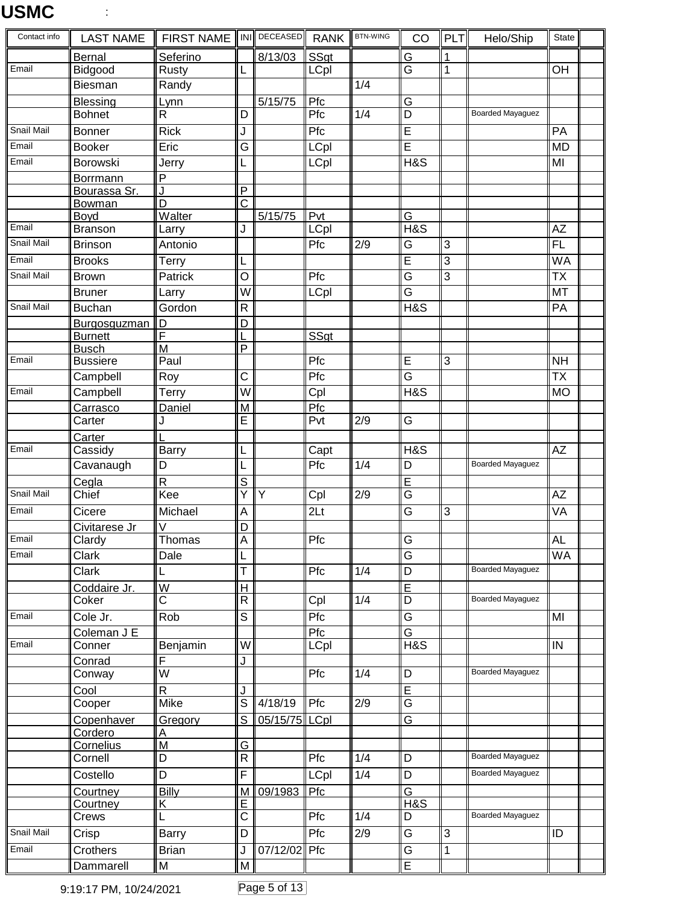| Contact info | <b>LAST NAME</b>               | <b>FIRST NAME</b>       |                                           | INI DECEASED   | <b>RANK</b>     | <b>BTN-WING</b>  | CO                                        | <b>PLT</b>     | Helo/Ship               | State           |
|--------------|--------------------------------|-------------------------|-------------------------------------------|----------------|-----------------|------------------|-------------------------------------------|----------------|-------------------------|-----------------|
|              | <b>Bernal</b>                  | Seferino                |                                           | 8/13/03        | SSgt            |                  | <u>G</u>                                  | 1              |                         |                 |
| Email        | Bidgood                        | Rusty                   | L                                         |                | <b>LCpl</b>     |                  | $\overline{\mathsf{G}}$                   | 1              |                         | OH              |
|              | Biesman                        | Randy                   |                                           |                |                 | 1/4              |                                           |                |                         |                 |
|              | <b>Blessing</b>                | Lynn                    |                                           | 5/15/75        | Pfc             |                  | G                                         |                |                         |                 |
|              | <b>Bohnet</b>                  | R                       | D                                         |                | Pfc             | 1/4              | $\overline{D}$                            |                | <b>Boarded Mayaguez</b> |                 |
| Snail Mail   | <b>Bonner</b>                  | <b>Rick</b>             | J                                         |                | Pfc             |                  | $\overline{\mathsf{E}}$                   |                |                         | PA              |
| Email        | <b>Booker</b>                  | Eric                    | $\overline{G}$                            |                | <b>LCpl</b>     |                  | $\overline{\mathsf{E}}$                   |                |                         | <b>MD</b>       |
| Email        | Borowski                       | Jerry                   | L                                         |                | LCpl            |                  | <b>H&amp;S</b>                            |                |                         | MI              |
|              | Borrmann                       | P                       |                                           |                |                 |                  |                                           |                |                         |                 |
|              | Bourassa Sr.                   | J<br>D                  | $\overline{P}$<br>$\overline{\mathrm{c}}$ |                |                 |                  |                                           |                |                         |                 |
|              | Bowman<br>Boyd                 | Walter                  |                                           | 5/15/75        | Pvt             |                  | $\overline{G}$                            |                |                         |                 |
| Email        | <b>Branson</b>                 | Larry                   | J                                         |                | LCpl            |                  | H&S                                       |                |                         | AZ              |
| Snail Mail   | <b>Brinson</b>                 | Antonio                 |                                           |                | Pfc             | $\overline{2/9}$ | $\overline{\mathsf{G}}$                   | $\overline{3}$ |                         | FL              |
| Email        | <b>Brooks</b>                  | <b>Terry</b>            | L                                         |                |                 |                  | E                                         | 3              |                         | <b>WA</b>       |
| Snail Mail   | <b>Brown</b>                   | Patrick                 | $\circ$                                   |                | Pfc             |                  | G                                         | 3              |                         | <b>TX</b>       |
|              | <b>Bruner</b>                  | Larry                   | $\overline{W}$                            |                | <b>LCpl</b>     |                  | $\overline{\mathsf{G}}$                   |                |                         | MT              |
| Snail Mail   | <b>Buchan</b>                  | Gordon                  | $\mathsf{R}$                              |                |                 |                  | <b>H&amp;S</b>                            |                |                         | PA              |
|              |                                | D                       | D                                         |                |                 |                  |                                           |                |                         |                 |
|              | Burgosguzman<br><b>Burnett</b> | F                       |                                           |                | SSgt            |                  |                                           |                |                         |                 |
|              | <b>Busch</b>                   | M                       | P                                         |                |                 |                  |                                           |                |                         |                 |
| Email        | <b>Bussiere</b>                | Paul                    |                                           |                | Pfc             |                  | $\overline{E}$                            | $\overline{3}$ |                         | <b>NH</b>       |
|              | Campbell                       | Roy                     | C                                         |                | Pfc             |                  | $\overline{\mathsf{G}}$                   |                |                         | <b>TX</b>       |
| Email        | Campbell                       | Terry                   | W                                         |                | Cpl             |                  | H&S                                       |                |                         | <b>MO</b>       |
|              | Carrasco                       | Daniel                  | M                                         |                | Pfc             |                  |                                           |                |                         |                 |
|              | Carter                         | J                       | E                                         |                | Pvt             | 2/9              | G                                         |                |                         |                 |
|              | Carter                         |                         |                                           |                |                 |                  |                                           |                |                         |                 |
| Email        | Cassidy                        | <b>Barry</b>            | L                                         |                | Capt            |                  | <b>H&amp;S</b>                            |                |                         | $\overline{AZ}$ |
|              | Cavanaugh                      | D                       | L                                         |                | Pfc             | 1/4              | D                                         |                | <b>Boarded Mayaguez</b> |                 |
|              | Cegla                          | R                       | S                                         |                |                 |                  | E                                         |                |                         |                 |
| Snail Mail   | Chief                          | Kee                     | Y                                         | $\overline{Y}$ | Cpl             | 2/9              | $\overline{G}$                            |                |                         | <b>AZ</b>       |
| Email        | Cicere                         | Michael                 | $\overline{A}$                            |                | 2 <sub>Lt</sub> |                  | G                                         | $\overline{3}$ |                         | VA              |
|              | Civitarese Jr                  | $\vee$                  | D                                         |                |                 |                  |                                           |                |                         |                 |
| Email        | Clardy                         | Thomas                  | $\overline{A}$                            |                | Pfc             |                  | $\overline{G}$                            |                |                         | AL              |
| Email        | Clark                          | Dale                    | 'Ĺ                                        |                |                 |                  | $\overline{\mathsf{G}}$                   |                |                         | <b>WA</b>       |
|              | Clark                          | L                       | Τ                                         |                | Pfc             | $\overline{1/4}$ | $\overline{D}$                            |                | <b>Boarded Mayaguez</b> |                 |
|              | Coddaire Jr.                   | W                       | H                                         |                |                 |                  | $\overline{E}$                            |                |                         |                 |
|              | Coker                          | $\overline{\text{c}}$   | $\overline{R}$                            |                | Cpl             | 1/4              | $\overline{D}$                            |                | <b>Boarded Mayaguez</b> |                 |
| Email        | Cole Jr.                       | Rob                     | $\mathbf S$                               |                | Pfc             |                  | G                                         |                |                         | MI              |
|              | Coleman J E                    |                         |                                           |                | Pfc             |                  | $\overline{G}$                            |                |                         |                 |
| Email        | Conner                         | Benjamin                | W                                         |                | <b>LCpl</b>     |                  | <b>H&amp;S</b>                            |                |                         | IN              |
|              | Conrad                         | F                       | J                                         |                |                 |                  |                                           |                |                         |                 |
|              | Conway                         | $\overline{\mathsf{w}}$ |                                           |                | Pfc             | 1/4              | D                                         |                | <b>Boarded Mayaguez</b> |                 |
|              | Cool                           | $\overline{\mathsf{R}}$ | J                                         |                |                 |                  | $\overline{E}$<br>$\overline{\mathsf{G}}$ |                |                         |                 |
|              | Cooper                         | <b>Mike</b>             | $\overline{s}$                            | 4/18/19        | Pfc             | $\overline{2/9}$ |                                           |                |                         |                 |
|              | Copenhaver<br>Cordero          | <b>Gregory</b>          | S                                         | 05/15/75 LCpl  |                 |                  | G                                         |                |                         |                 |
|              | Cornelius                      | A<br>M                  | G                                         |                |                 |                  |                                           |                |                         |                 |
|              | Cornell                        | D                       | $\overline{\mathsf{R}}$                   |                | Pfc             | 1/4              | $\overline{D}$                            |                | <b>Boarded Mayaguez</b> |                 |
|              | Costello                       | D                       | $\overline{\mathsf{F}}$                   |                | LCpl            | 1/4              | D                                         |                | <b>Boarded Mayaguez</b> |                 |
|              | Courtney                       | <b>Billy</b>            | M                                         | 09/1983        | Pfc             |                  | $\overline{G}$                            |                |                         |                 |
|              | Courtney                       | Κ                       | E                                         |                |                 |                  | H&S                                       |                |                         |                 |
|              | Crews                          | L                       | $\overline{\text{c}}$                     |                | Pfc             | 1/4              | D                                         |                | Boarded Mayaguez        |                 |
| Snail Mail   | Crisp                          | <b>Barry</b>            | D                                         |                | Pfc             | 2/9              | G                                         | $\overline{3}$ |                         | ID              |
| Email        | Crothers                       | <b>Brian</b>            | J                                         | 07/12/02 Pfc   |                 |                  | $\overline{G}$                            | $\mathbf{1}$   |                         |                 |
|              | Dammarell                      | M                       | M                                         |                |                 |                  | $\overline{\mathsf{E}}$                   |                |                         |                 |
|              |                                |                         |                                           |                |                 |                  |                                           |                |                         |                 |

9:19:17 PM, 10/24/2021 Page 5 of 13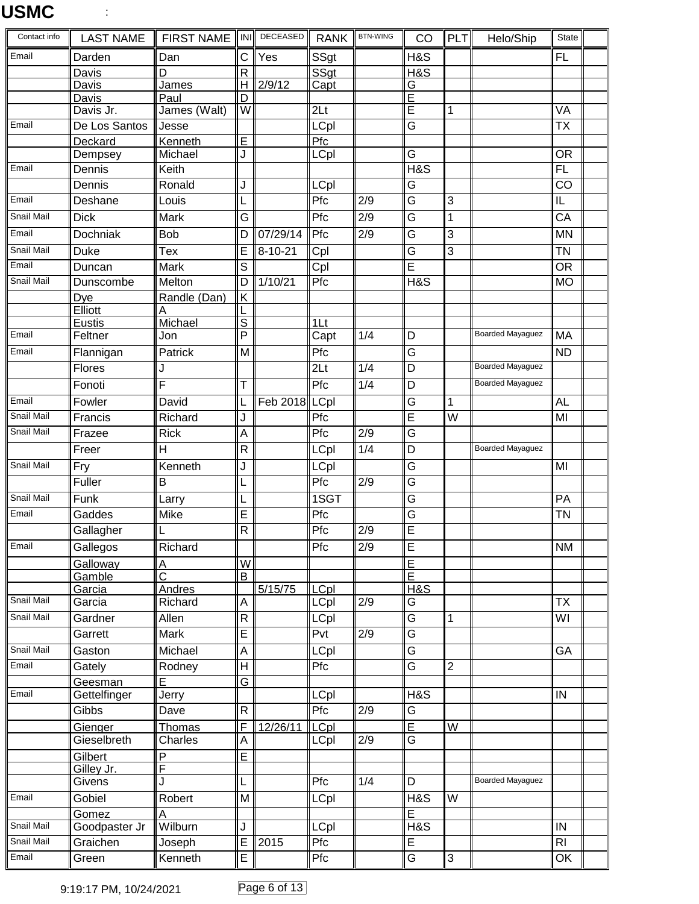| Contact info      | <b>LAST NAME</b>       | <b>FIRST NAME</b>          | INI                     | DECEASED      | <b>RANK</b>     | <b>BTN-WING</b>  | CO                           | PLT                     | Helo/Ship               | <b>State</b>            |  |
|-------------------|------------------------|----------------------------|-------------------------|---------------|-----------------|------------------|------------------------------|-------------------------|-------------------------|-------------------------|--|
| Email             | Darden                 | Dan                        | С                       | Yes           | SSgt            |                  | H&S                          |                         |                         | FL                      |  |
|                   | Davis                  | D                          | $\overline{\mathsf{R}}$ |               | SSgt            |                  | H&S                          |                         |                         |                         |  |
|                   | Davis                  | James                      | H                       | 2/9/12        | Capt            |                  | G                            |                         |                         |                         |  |
|                   | Davis<br>Davis Jr.     | Paul<br>James (Walt)       | D<br>W                  |               | 2 <sub>Lt</sub> |                  | E<br>$\overline{E}$          | 1                       |                         | VA                      |  |
| Email             | De Los Santos          | Jesse                      |                         |               | LCpl            |                  | G                            |                         |                         | <b>TX</b>               |  |
|                   | Deckard                | Kenneth                    | E                       |               | Pfc             |                  |                              |                         |                         |                         |  |
|                   | Dempsey                | Michael                    | J                       |               | LCpl            |                  | $\overline{\mathsf{G}}$      |                         |                         | <b>OR</b>               |  |
| Email             | Dennis                 | Keith                      |                         |               |                 |                  | <b>H&amp;S</b>               |                         |                         | $\overline{FL}$         |  |
|                   | Dennis                 | Ronald                     | J                       |               | LCpl            |                  | G                            |                         |                         | $\overline{CO}$         |  |
| Email             | Deshane                | Louis                      |                         |               | Pfc             | $\overline{2/9}$ | $\overline{\mathsf{G}}$      | 3                       |                         | IL                      |  |
| <b>Snail Mail</b> | <b>Dick</b>            | <b>Mark</b>                | $\overline{\mathsf{G}}$ |               | Pfc             | $\overline{2/9}$ | $\overline{G}$               | 1                       |                         | $\overline{CA}$         |  |
| Email             | Dochniak               | <b>Bob</b>                 | D                       | 07/29/14      | Pfc             | 2/9              | G                            | 3                       |                         | <b>MN</b>               |  |
| Snail Mail        | <b>Duke</b>            | Tex                        |                         | $8 - 10 - 21$ |                 |                  | $\overline{\mathsf{G}}$      | 3                       |                         | <b>TN</b>               |  |
| Email             |                        |                            | E                       |               | Cpl             |                  | $\overline{\mathsf{E}}$      |                         |                         |                         |  |
| Snail Mail        | Duncan                 | Mark                       | S                       | 1/10/21       | Cpl             |                  | $H\&S$                       |                         |                         | <b>OR</b>               |  |
|                   | Dunscombe              | Melton                     | D                       |               | Pfc             |                  |                              |                         |                         | <b>MO</b>               |  |
|                   | Dye<br>Elliott         | Randle (Dan)<br>Α          | K                       |               |                 |                  |                              |                         |                         |                         |  |
|                   | Eustis                 | Michael                    | $\overline{s}$          |               | 1 <sub>l</sub>  |                  |                              |                         |                         |                         |  |
| Email             | Feltner                | Jon                        | P                       |               | Capt            | 1/4              | D                            |                         | <b>Boarded Mayaguez</b> | MA                      |  |
| Email             | Flannigan              | Patrick                    | M                       |               | Pfc             |                  | $\overline{G}$               |                         |                         | <b>ND</b>               |  |
|                   | Flores                 | J                          |                         |               | 2 <sub>Lt</sub> | $\overline{1/4}$ | $\overline{D}$               |                         | <b>Boarded Mayaguez</b> |                         |  |
|                   | Fonoti                 | F                          | T                       |               | Pfc             | 1/4              | D                            |                         | <b>Boarded Mayaguez</b> |                         |  |
| Email             | Fowler                 | David                      | L                       | Feb 2018 LCpl |                 |                  | $\overline{\mathsf{G}}$      | 1                       |                         | AL                      |  |
| Snail Mail        | Francis                | Richard                    | J                       |               | Pfc             |                  | $\overline{\mathsf{E}}$      | $\overline{\mathsf{w}}$ |                         | MI                      |  |
| Snail Mail        | Frazee                 | <b>Rick</b>                | Α                       |               | Pfc             | 2/9              | G                            |                         |                         |                         |  |
|                   | Freer                  | H                          | $\mathsf{R}$            |               | LCpl            | 1/4              | D                            |                         | <b>Boarded Mayaguez</b> |                         |  |
| Snail Mail        | Fry                    | Kenneth                    | J                       |               | LCpl            |                  | G                            |                         |                         | MI                      |  |
|                   | Fuller                 | B                          |                         |               | Pfc             | $\overline{2/9}$ | $\overline{\mathsf{G}}$      |                         |                         |                         |  |
| Snail Mail        |                        |                            |                         |               | 1SGT            |                  | $\overline{\mathsf{G}}$      |                         |                         | PA                      |  |
| Email             | Funk                   | Larry                      | L                       |               |                 |                  |                              |                         |                         |                         |  |
|                   | Gaddes                 | Mike                       | E<br>${\sf R}$          |               | Pfc<br>Pfc      | 2/9              | G<br>Ē                       |                         |                         | TN                      |  |
|                   | Gallagher              |                            |                         |               |                 |                  |                              |                         |                         |                         |  |
| Email             | Gallegos               | Richard                    |                         |               | Pfc             | 2/9              | E                            |                         |                         | <b>NM</b>               |  |
|                   | Galloway<br>Gamble     | A<br>$\overline{\text{c}}$ | W<br>B                  |               |                 |                  | E<br>$\overline{\mathsf{E}}$ |                         |                         |                         |  |
|                   | Garcia                 | Andres                     |                         | 5/15/75       | <b>LCpl</b>     |                  | H&S                          |                         |                         |                         |  |
| Snail Mail        | Garcia                 | Richard                    | A                       |               | LCpl            | 2/9              | G                            |                         |                         | <b>TX</b>               |  |
| Snail Mail        | Gardner                | Allen                      | $\mathsf{R}$            |               | <b>LCpl</b>     |                  | $\overline{\mathsf{G}}$      | 1                       |                         | $\overline{\mathsf{W}}$ |  |
|                   | Garrett                | Mark                       | E                       |               | Pvt             | 2/9              | $\overline{\mathsf{G}}$      |                         |                         |                         |  |
| <b>Snail Mail</b> | Gaston                 | Michael                    | A                       |               | LCpl            |                  | $\overline{G}$               |                         |                         | GA                      |  |
| Email             | Gately                 | Rodney                     | H                       |               | Pfc             |                  | G                            | $\overline{2}$          |                         |                         |  |
|                   | Geesman                | E                          | Ġ                       |               |                 |                  |                              |                         |                         |                         |  |
| Email             | Gettelfinger           | Jerry                      |                         |               | <b>LCpl</b>     |                  | H&S                          |                         |                         | IN                      |  |
|                   | Gibbs                  | Dave                       | $\mathsf R$             |               | Pfc             | 2/9              | G                            |                         |                         |                         |  |
|                   | Gienger                | Thomas                     | F                       | 12/26/11      | <b>LCpl</b>     |                  | $\overline{E}$               | W                       |                         |                         |  |
|                   | Gieselbreth            | Charles                    | Α                       |               | LCpl            | 2/9              | $\overline{G}$               |                         |                         |                         |  |
|                   | Gilbert                | $\overline{P}$             | E                       |               |                 |                  |                              |                         |                         |                         |  |
|                   | Gilley Jr.             | F                          |                         |               |                 |                  |                              |                         | <b>Boarded Mayaguez</b> |                         |  |
|                   | Givens                 | J                          | L                       |               | Pfc             | 1/4              | D                            |                         |                         |                         |  |
| Email             | Gobiel                 | Robert                     | $\overline{M}$          |               | LCpl            |                  | <b>H&amp;S</b>               | $\overline{\mathsf{W}}$ |                         |                         |  |
| Snail Mail        | Gomez<br>Goodpaster Jr | A<br>Wilburn               | J                       |               | LCpl            |                  | E<br><b>H&amp;S</b>          |                         |                         | IN                      |  |
| Snail Mail        | Graichen               | Joseph                     | E                       | 2015          | Pfc             |                  | E                            |                         |                         | R <sub>l</sub>          |  |
| Email             | Green                  | Kenneth                    | E                       |               | Pfc             |                  | $\overline{\mathsf{G}}$      | 3                       |                         | OK                      |  |
|                   |                        |                            |                         |               |                 |                  |                              |                         |                         |                         |  |

9:19:17 PM, 10/24/2021 Page 6 of 13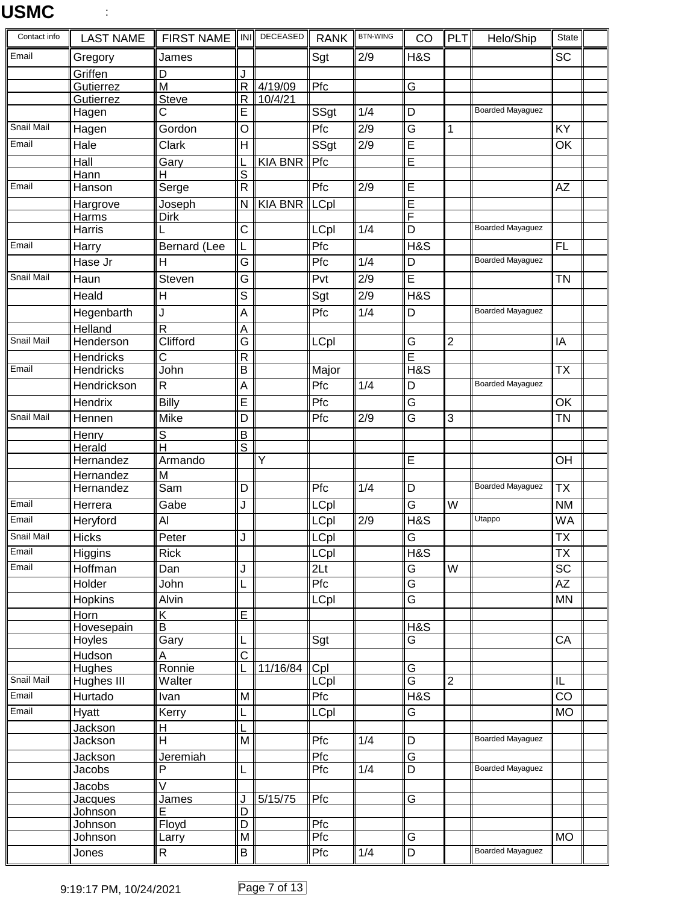| Contact info | <b>LAST NAME</b>            | <b>FIRST NAME</b>       | <b>INI</b>              | DECEASED       | <b>RANK</b>     | <b>BTN-WING</b>  | CO                           | PLT            | Helo/Ship               | State                    |  |
|--------------|-----------------------------|-------------------------|-------------------------|----------------|-----------------|------------------|------------------------------|----------------|-------------------------|--------------------------|--|
| Email        | Gregory                     | James                   |                         |                | Sgt             | 2/9              | H&S                          |                |                         | <b>SC</b>                |  |
|              | Griffen                     | D                       | J                       |                |                 |                  |                              |                |                         |                          |  |
|              | Gutierrez                   | M                       | R                       | 4/19/09        | Pfc             |                  | G                            |                |                         |                          |  |
|              | Gutierrez<br>Hagen          | <b>Steve</b><br>С       | R<br>Е                  | 10/4/21        | SSgt            | 1/4              | D                            |                | <b>Boarded Mayaguez</b> |                          |  |
| Snail Mail   |                             | Gordon                  | O                       |                | Pfc             | 2/9              | G                            | 1              |                         | KY                       |  |
| Email        | Hagen                       |                         | H                       |                |                 | $\overline{2/9}$ |                              |                |                         |                          |  |
|              | Hale                        | Clark                   |                         |                | SSgt            |                  | E                            |                |                         | OK                       |  |
|              | Hall<br>Hann                | Gary<br>H               | S                       | <b>KIA BNR</b> | Pfc             |                  | Ē                            |                |                         |                          |  |
| Email        | Hanson                      | Serge                   | $\mathsf{R}$            |                | Pfc             | $\overline{2/9}$ | E                            |                |                         | AZ                       |  |
|              | Hargrove                    | Joseph                  | N                       | KIA BNR LCpl   |                 |                  | Ē                            |                |                         |                          |  |
|              | Harms                       | <b>Dirk</b>             |                         |                |                 |                  | F                            |                |                         |                          |  |
|              | Harris                      |                         | C                       |                | LCpl            | 1/4              | D                            |                | <b>Boarded Mayaguez</b> |                          |  |
| Email        | Harry                       | Bernard (Lee            | L                       |                | Pfc             |                  | <b>H&amp;S</b>               |                |                         | <b>FL</b>                |  |
|              | Hase Jr                     | H                       | G                       |                | Pfc             | 1/4              | D                            |                | <b>Boarded Mayaguez</b> |                          |  |
| Snail Mail   | Haun                        | Steven                  | $\overline{\mathsf{G}}$ |                | Pvt             | $\overline{2/9}$ | Ē                            |                |                         | <b>TN</b>                |  |
|              | Heald                       | H                       | S                       |                | Sgt             | 2/9              | H&S                          |                |                         |                          |  |
|              | Hegenbarth                  | J                       | Α                       |                | Pfc             | $\overline{1/4}$ | D                            |                | <b>Boarded Mayaguez</b> |                          |  |
|              | Helland                     | $\overline{R}$          | Α                       |                |                 |                  |                              |                |                         |                          |  |
| Snail Mail   | Henderson                   | Clifford                | G                       |                | LCpl            |                  | G                            | $\overline{2}$ |                         | IA                       |  |
|              | Hendricks                   | Ć                       | R                       |                |                 |                  | Ē                            |                |                         |                          |  |
| Email        | <b>Hendricks</b>            | John                    | B                       |                | Major           |                  | H&S                          |                |                         | <b>TX</b>                |  |
|              | Hendrickson                 | $\mathsf{R}$            | Α                       |                | Pfc             | 1/4              | D                            |                | <b>Boarded Mayaguez</b> |                          |  |
|              | Hendrix                     | Billy                   | E                       |                | Pfc             |                  | G                            |                |                         | OK                       |  |
| Snail Mail   | Hennen                      | Mike                    | D                       |                | Pfc             | 2/9              | $\overline{\mathsf{G}}$      | 3              |                         | <b>TN</b>                |  |
|              | Henry                       | $\mathsf S$             | B                       |                |                 |                  |                              |                |                         |                          |  |
|              | Herald                      | H                       | S                       |                |                 |                  |                              |                |                         |                          |  |
|              | Hernandez                   | Armando<br>M            |                         | Υ              |                 |                  | E                            |                |                         | OH                       |  |
|              | Hernandez<br>Hernandez      | Sam                     | D                       |                | Pfc             | 1/4              | D                            |                | <b>Boarded Mayaguez</b> | <b>TX</b>                |  |
| Email        | Herrera                     | Gabe                    | J                       |                | LCpl            |                  | $\overline{\mathsf{G}}$      | W              |                         | <b>NM</b>                |  |
| Email        | Heryford                    | Al                      |                         |                | LCpl            | 2/9              | H&S                          |                | Utappo                  | WA                       |  |
| Snail Mail   | <b>Hicks</b>                | Peter                   | $\mathbf{I}$            |                | LCpl            |                  | G                            |                |                         | TX                       |  |
| Email        | Higgins                     | <b>Rick</b>             |                         |                | LCpl            |                  | H&S                          |                |                         | $\overline{\mathsf{TX}}$ |  |
| Email        | Hoffman                     | Dan                     | J                       |                | 2 <sub>Lt</sub> |                  | G                            | W              |                         | <b>SC</b>                |  |
|              | Holder                      | John                    | L                       |                | Pfc             |                  | Ġ                            |                |                         | <b>AZ</b>                |  |
|              | Hopkins                     | Alvin                   |                         |                | <b>LCpl</b>     |                  | $\overline{\mathsf{G}}$      |                |                         | <b>MN</b>                |  |
|              | Horn                        | Κ                       | E                       |                |                 |                  |                              |                |                         |                          |  |
|              | Hovesepain                  | B                       |                         |                |                 |                  | <b>H&amp;S</b>               |                |                         |                          |  |
|              | Hoyles                      | Gary                    | L                       |                | Sgt             |                  | G                            |                |                         | CA                       |  |
|              | <b>Hudson</b>               | A                       | $\overline{\text{c}}$   |                |                 |                  |                              |                |                         |                          |  |
| Snail Mail   | <b>Hughes</b><br>Hughes III | Ronnie<br>Walter        |                         | 11/16/84       | Cpl<br>LCpl     |                  | G<br>$\overline{\mathsf{G}}$ | $\overline{2}$ |                         | IL                       |  |
| Email        | Hurtado                     |                         | M                       |                | Pfc             |                  | <b>H&amp;S</b>               |                |                         | $\overline{CO}$          |  |
| Email        | Hyatt                       | Ivan<br>Kerry           |                         |                | LCpl            |                  | G                            |                |                         | <b>MO</b>                |  |
|              | Jackson                     | Н                       | L<br>L                  |                |                 |                  |                              |                |                         |                          |  |
|              | Jackson                     | H                       | M                       |                | Pfc             | 1/4              | D                            |                | <b>Boarded Mayaguez</b> |                          |  |
|              | Jackson                     | Jeremiah                |                         |                | Pfc             |                  | $\overline{\mathsf{G}}$      |                |                         |                          |  |
|              | Jacobs                      | P                       | L                       |                | Pfc             | 1/4              | D                            |                | <b>Boarded Mayaguez</b> |                          |  |
|              | Jacobs                      | $\overline{\mathsf{v}}$ |                         |                |                 |                  |                              |                |                         |                          |  |
|              | Jacques                     | James                   | J                       | 5/15/75        | Pfc             |                  | $\overline{\mathsf{G}}$      |                |                         |                          |  |
|              | Johnson                     | E                       | D                       |                |                 |                  |                              |                |                         |                          |  |
|              | <b>Johnson</b><br>Johnson   | Floyd                   | D<br>M                  |                | Pfc<br>Pfc      |                  | G                            |                |                         | <b>MO</b>                |  |
|              | Jones                       | Larry<br>$\mathsf{R}$   | B                       |                | Pfc             | 1/4              | $\overline{D}$               |                | <b>Boarded Mayaguez</b> |                          |  |
|              |                             |                         |                         |                |                 |                  |                              |                |                         |                          |  |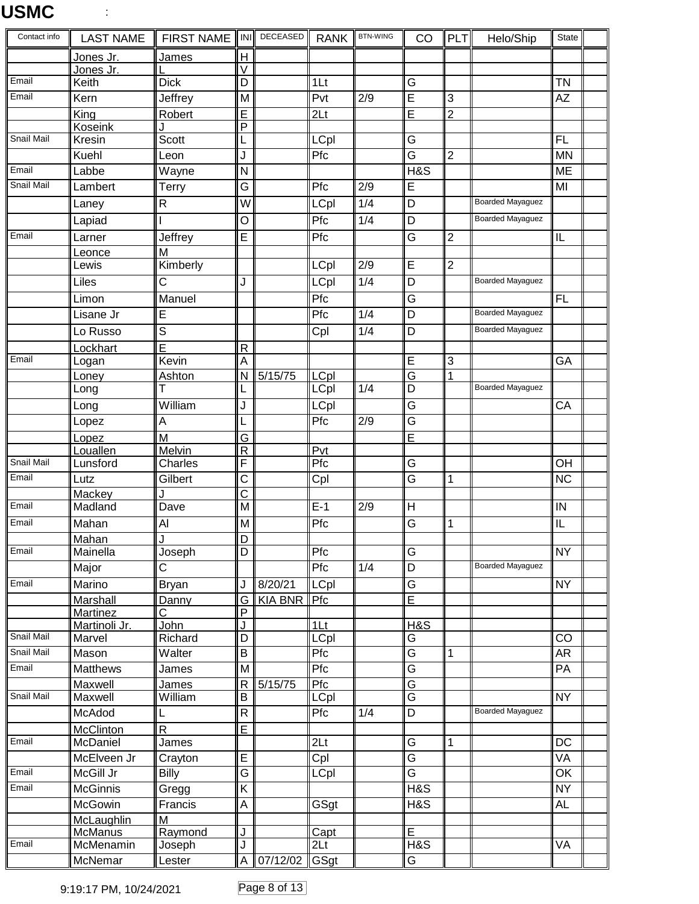| Contact info   | <b>LAST NAME</b>            | <b>FIRST NAME</b> | ll INI ll               | DECEASED       | <b>RANK</b>             | <b>BTN-WING</b>  | CO                      | $\ $ PLT $\ $  | Helo/Ship               | State           |  |
|----------------|-----------------------------|-------------------|-------------------------|----------------|-------------------------|------------------|-------------------------|----------------|-------------------------|-----------------|--|
|                | Jones Jr.                   | James             | H                       |                |                         |                  |                         |                |                         |                 |  |
|                | Jones Jr.                   |                   | V                       |                |                         |                  |                         |                |                         |                 |  |
| Email<br>Email | Keith                       | <b>Dick</b>       | D                       |                | 1 <sub>Lt</sub>         |                  | G                       |                |                         | <b>TN</b>       |  |
|                | Kern                        | Jeffrey           | M                       |                | Pvt                     | $\overline{2/9}$ | $\overline{\mathsf{E}}$ | 3              |                         | <b>AZ</b>       |  |
|                | King<br>Koseink             | Robert            | E<br>P                  |                | 2 <sub>Lt</sub>         |                  | Ē                       | $\overline{2}$ |                         |                 |  |
| Snail Mail     | Kresin                      | Scott             |                         |                | LCpl                    |                  | G                       |                |                         | <b>FL</b>       |  |
|                | Kuehl                       | Leon              | J                       |                | Pfc                     |                  | $\overline{\mathsf{G}}$ | $\overline{2}$ |                         | <b>MN</b>       |  |
| Email          | Labbe                       | Wayne             | N                       |                |                         |                  | H&S                     |                |                         | ME              |  |
| Snail Mail     | Lambert                     | Terry             | G                       |                | Pfc                     | $\overline{2/9}$ | E                       |                |                         | MI              |  |
|                | Laney                       | $\mathsf{R}$      | W                       |                | <b>LCpl</b>             | $\overline{1/4}$ | $\overline{\mathsf{D}}$ |                | <b>Boarded Mayaguez</b> |                 |  |
|                | Lapiad                      |                   | O                       |                | Pfc                     | 1/4              | $\overline{D}$          |                | <b>Boarded Mayaguez</b> |                 |  |
| Email          | Larner                      | Jeffrey           | E                       |                | Pfc                     |                  | $\overline{\mathsf{G}}$ | $\overline{2}$ |                         | IL              |  |
|                | Leonce                      | M                 |                         |                |                         |                  |                         |                |                         |                 |  |
|                | Lewis                       | Kimberly          |                         |                | LCpl                    | $\overline{2/9}$ | E                       | $\overline{2}$ |                         |                 |  |
|                | Liles                       | С                 | J                       |                | <b>LCpl</b>             | $\overline{1/4}$ | $\overline{D}$          |                | <b>Boarded Mayaguez</b> |                 |  |
|                | Limon                       | Manuel            |                         |                | Pfc                     |                  | $\overline{\mathsf{G}}$ |                |                         | <b>FL</b>       |  |
|                | Lisane Jr                   | E                 |                         |                | Pfc                     | 1/4              | $\overline{D}$          |                | <b>Boarded Mayaguez</b> |                 |  |
|                | Lo Russo                    | S                 |                         |                | Cpl                     | 1/4              | $\overline{D}$          |                | <b>Boarded Mayaguez</b> |                 |  |
|                | Lockhart                    | E                 | $\mathsf R$             |                |                         |                  |                         |                |                         |                 |  |
| Email          | Logan                       | Kevin             | A                       |                |                         |                  | $\overline{E}$          | $\overline{3}$ |                         | GA              |  |
|                | Loney                       | Ashton            | N                       | 5/15/75        | LCpl                    |                  | $\overline{\mathsf{G}}$ | 1              |                         |                 |  |
|                | Long                        |                   |                         |                | LCpl                    | 1/4              | D                       |                | <b>Boarded Mayaguez</b> |                 |  |
|                | Long                        | William           | J                       |                | LCpl                    |                  | $\overline{\mathsf{G}}$ |                |                         | CA              |  |
|                | Lopez                       | A                 | L                       |                | Pfc                     | $\overline{2/9}$ | $\overline{\mathsf{G}}$ |                |                         |                 |  |
|                | Lopez                       | M                 | G                       |                |                         |                  | E                       |                |                         |                 |  |
| Snail Mail     | Louallen<br>Lunsford        | Melvin<br>Charles | $\overline{R}$<br>F     |                | Pvt<br>Pfc              |                  | G                       |                |                         | OH              |  |
| Email          | Lutz                        | Gilbert           | C                       |                |                         |                  | $\overline{\mathsf{G}}$ | 1              |                         | <b>NC</b>       |  |
|                | Mackey                      |                   | С                       |                | Cpl                     |                  |                         |                |                         |                 |  |
| Email          | Madland                     | Dave              | M                       |                | $E-1$                   | 2/9              | H                       |                |                         | IN              |  |
| Email          | Mahan                       | AI                | M                       |                | Pfc                     |                  | $\overline{\mathsf{G}}$ | $\mathbf 1$    |                         | IL              |  |
|                | Mahan                       | J                 | $\overline{D}$          |                |                         |                  |                         |                |                         |                 |  |
| Email          | Mainella                    | Joseph            | $\overline{D}$          |                | Pfc                     |                  | $\overline{G}$          |                |                         | $\overline{NY}$ |  |
|                | Major                       | С                 |                         |                | Pfc                     | $\overline{1/4}$ | $\overline{\mathsf{D}}$ |                | <b>Boarded Mayaguez</b> |                 |  |
| Email          | Marino                      | <b>Bryan</b>      | J                       | 8/20/21        | LCpl                    |                  | G                       |                |                         | <b>NY</b>       |  |
|                | <b>Marshall</b>             | Danny             | G                       | <b>KIA BNR</b> | Pfc                     |                  | $\overline{\mathsf{E}}$ |                |                         |                 |  |
|                | Martinez                    | $\overline{C}$    | P                       |                |                         |                  |                         |                |                         |                 |  |
| Snail Mail     | Martinoli Jr.<br>Marvel     | John<br>Richard   | J<br>D                  |                | 1Lt<br><b>LCpl</b>      |                  | <b>H&amp;S</b><br>G     |                |                         | CO              |  |
| Snail Mail     | Mason                       | Walter            | B                       |                | Pfc                     |                  | $\overline{\mathsf{G}}$ | $\mathbf{1}$   |                         | <b>AR</b>       |  |
| Email          | <b>Matthews</b>             | James             | M                       |                | Pfc                     |                  | $\overline{\mathsf{G}}$ |                |                         | PA              |  |
|                | Maxwell                     | James             | $\mathsf{R}$            | 5/15/75        | Pfc                     |                  | G                       |                |                         |                 |  |
| Snail Mail     | Maxwell                     | William           | B                       |                | LCpl                    |                  | $\overline{\mathsf{G}}$ |                |                         | <b>NY</b>       |  |
|                | McAdod                      | L                 | R                       |                | Pfc                     | 1/4              | D                       |                | <b>Boarded Mayaguez</b> |                 |  |
|                | McClinton                   | $\overline{R}$    | $\overline{\mathsf{E}}$ |                |                         |                  |                         |                |                         |                 |  |
| Email          | McDaniel                    | James             |                         |                | 2 <sub>Lt</sub>         |                  | $\overline{\mathsf{G}}$ | $\mathbf{1}$   |                         | $\overline{DC}$ |  |
|                | McElveen Jr                 | Crayton           | E                       |                | Cpl                     |                  | $\overline{\mathsf{G}}$ |                |                         | <b>VA</b>       |  |
| Email          | McGill Jr                   | <b>Billy</b>      | $\overline{\mathsf{G}}$ |                | LCpl                    |                  | $\overline{\mathsf{G}}$ |                |                         | OK              |  |
| Email          | <b>McGinnis</b>             | Gregg             | $\overline{\mathsf{K}}$ |                |                         |                  | H&S                     |                |                         | <b>NY</b>       |  |
|                | McGowin                     | Francis           | A                       |                | GSgt                    |                  | H&S                     |                |                         | <b>AL</b>       |  |
|                | McLaughlin                  | M                 |                         |                |                         |                  |                         |                |                         |                 |  |
| Email          | <b>McManus</b><br>McMenamin | Raymond<br>Joseph | J<br>J                  |                | Capt<br>2 <sub>Lt</sub> |                  | Ē<br>H&S                |                |                         | VA              |  |
|                | McNemar                     | Lester            | A                       | 07/12/02       | GSgt                    |                  | $\overline{\mathsf{G}}$ |                |                         |                 |  |
|                |                             |                   |                         |                |                         |                  |                         |                |                         |                 |  |

9:19:17 PM, 10/24/2021 Page 8 of 13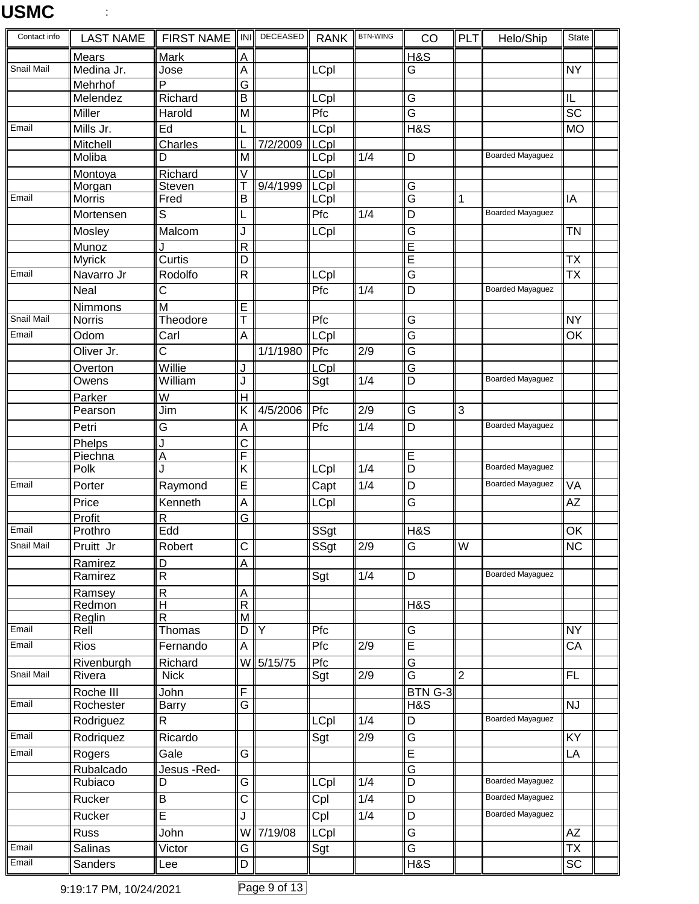| Contact info        | <b>LAST NAME</b>      | FIRST NAME  INI                         |                                  | DECEASED       | <b>RANK</b>         | <b>BTN-WING</b>  | CO                                                 | PLT            | Helo/Ship               | State                    |  |
|---------------------|-----------------------|-----------------------------------------|----------------------------------|----------------|---------------------|------------------|----------------------------------------------------|----------------|-------------------------|--------------------------|--|
|                     | Mears                 | <b>Mark</b>                             | $\overline{A}$                   |                |                     |                  | H&S                                                |                |                         |                          |  |
| Snail Mail          | Medina Jr.            | Jose                                    | A                                |                | LCpl                |                  | G                                                  |                |                         | <b>NY</b>                |  |
|                     | Mehrhof               | P                                       | $\overline{\mathsf{G}}$          |                |                     |                  |                                                    |                |                         |                          |  |
|                     | Melendez<br>Miller    | Richard                                 | B                                |                | LCpl<br>Pfc         |                  | G<br>$\overline{\mathsf{G}}$                       |                |                         | IL<br>$\overline{SC}$    |  |
| Email               |                       | Harold<br>Ed                            | $\overline{\mathsf{M}}$          |                |                     |                  | <b>H&amp;S</b>                                     |                |                         |                          |  |
|                     | Mills Jr.<br>Mitchell |                                         | L                                | 7/2/2009       | <b>LCpl</b>         |                  |                                                    |                |                         | <b>MO</b>                |  |
|                     | Moliba                | Charles<br>D                            | M                                |                | <b>LCpl</b><br>LCpl | 1/4              | D                                                  |                | <b>Boarded Mayaguez</b> |                          |  |
|                     | Montoya               | Richard                                 | V                                |                | <b>LCpl</b>         |                  |                                                    |                |                         |                          |  |
|                     | Morgan                | Steven                                  | Τ                                | 9/4/1999       | <b>LCpl</b>         |                  | G                                                  |                |                         |                          |  |
| Email               | <b>Morris</b>         | Fred                                    | B                                |                | LCpl                |                  | $\overline{\mathsf{G}}$                            | 1              |                         | IA                       |  |
|                     | Mortensen             | S                                       | L                                |                | Pfc                 | 1/4              | D                                                  |                | <b>Boarded Mayaguez</b> |                          |  |
|                     | Mosley                | Malcom                                  | J                                |                | <b>LCpl</b>         |                  | G                                                  |                |                         | <b>TN</b>                |  |
|                     | Munoz                 |                                         | R                                |                |                     |                  | Ē                                                  |                |                         |                          |  |
|                     | <b>Myrick</b>         | Curtis                                  | D                                |                |                     |                  | E                                                  |                |                         | <b>TX</b>                |  |
| Email               | Navarro Jr            | Rodolfo                                 | $\overline{\mathsf{R}}$          |                | <b>LCpl</b>         |                  | G                                                  |                |                         | <b>TX</b>                |  |
|                     | <b>Neal</b>           | C                                       |                                  |                | Pfc                 | 1/4              | $\overline{D}$                                     |                | <b>Boarded Mayaguez</b> |                          |  |
|                     | <b>Nimmons</b>        | M                                       | E                                |                |                     |                  |                                                    |                |                         |                          |  |
| Snail Mail<br>Email | <b>Norris</b>         | Theodore                                | T                                |                | Pfc                 |                  | $\overline{\mathsf{G}}$<br>$\overline{\mathsf{G}}$ |                |                         | $\overline{NY}$          |  |
|                     | Odom                  | Carl                                    | A                                |                | LCpl                |                  |                                                    |                |                         | OK                       |  |
|                     | Oliver Jr.            | $\overline{C}$                          |                                  | 1/1/1980       | Pfc                 | 2/9              | G                                                  |                |                         |                          |  |
|                     | Overton<br>Owens      | Willie<br>William                       | J                                |                | LCpl<br>Sgt         | 1/4              | $\overline{G}$<br>D                                |                | Boarded Mayaguez        |                          |  |
|                     | Parker                | W                                       | $\mathsf{H}$                     |                |                     |                  |                                                    |                |                         |                          |  |
|                     | Pearson               | $\overline{J}$ im                       | Κ                                | 4/5/2006       | Pfc                 | $\overline{2/9}$ | G                                                  | $\overline{3}$ |                         |                          |  |
|                     | Petri                 | G                                       | A                                |                | Pfc                 | 1/4              | D                                                  |                | <b>Boarded Mayaguez</b> |                          |  |
|                     | Phelps                | J                                       | $\overline{\text{c}}$            |                |                     |                  |                                                    |                |                         |                          |  |
|                     | Piechna               | A                                       | F                                |                |                     |                  | $\overline{E}$                                     |                |                         |                          |  |
|                     | Polk                  | J                                       | $\overline{\mathsf{K}}$          |                | LCpl                | 1/4              | D                                                  |                | <b>Boarded Mayaguez</b> |                          |  |
| Email               | Porter                | Raymond                                 | E                                |                | Capt                | 1/4              | $\overline{D}$                                     |                | <b>Boarded Mayaguez</b> | <b>VA</b>                |  |
|                     | Price                 | Kenneth                                 | A                                |                | <b>LCpl</b>         |                  | G                                                  |                |                         | <b>AZ</b>                |  |
|                     | Profit                | $\overline{\mathsf{R}}$                 | G                                |                |                     |                  |                                                    |                |                         |                          |  |
| Email               | Prothro               | Edd                                     |                                  |                | SSgt                |                  | H&S                                                |                |                         | $\overline{OK}$          |  |
| Snail Mail          | Pruitt Jr             | Robert                                  | $\overline{C}$                   |                | SS <sub>gt</sub>    | 2/9              | G                                                  | W              |                         | ∣NC                      |  |
|                     | Ramirez               | D                                       | A                                |                |                     |                  |                                                    |                | Boarded Mayaguez        |                          |  |
|                     | Ramirez               | $\mathsf R$                             |                                  |                | Sgt                 | 1/4              | D                                                  |                |                         |                          |  |
|                     | Ramsey<br>Redmon      | $\overline{\mathsf{R}}$<br>$\mathsf{H}$ | $\overline{A}$<br>$\overline{R}$ |                |                     |                  | HAS                                                |                |                         |                          |  |
|                     | Reglin                | $\mathsf{R}$                            | M                                |                |                     |                  |                                                    |                |                         |                          |  |
| Email               | Rell                  | Thomas                                  | D                                | $\overline{Y}$ | Pfc                 |                  | G                                                  |                |                         | <b>NY</b>                |  |
| Email               | Rios                  | Fernando                                | A                                |                | Pfc                 | 2/9              | E                                                  |                |                         | CA                       |  |
|                     | Rivenburgh            | Richard                                 | W                                | 5/15/75        | Pfc                 |                  | $\overline{G}$                                     |                |                         |                          |  |
| Snail Mail          | Rivera                | <b>Nick</b>                             |                                  |                | Sgt                 | 2/9              | $\overline{G}$                                     | $\overline{2}$ |                         | FL                       |  |
|                     | Roche III             | John                                    | F                                |                |                     |                  | BTN G-3                                            |                |                         |                          |  |
| Email               | Rochester             | <b>Barry</b>                            | $\overline{\mathsf{G}}$          |                |                     |                  | HAS                                                |                | Boarded Mayaguez        | NJ                       |  |
| Email               | Rodriguez             | R                                       |                                  |                | <b>LCpl</b>         | 1/4              | D                                                  |                |                         |                          |  |
|                     | Rodriquez             | Ricardo                                 |                                  |                | Sgt                 | 2/9              | G                                                  |                |                         | KY                       |  |
| Email               | Rogers                | Gale                                    | $\overline{\mathsf{G}}$          |                |                     |                  | $\overline{E}$                                     |                |                         | LA                       |  |
|                     | Rubalcado<br>Rubiaco  | Jesus - Red-<br>D                       | G                                |                | LCpl                | 1/4              | G<br>D                                             |                | <b>Boarded Mayaguez</b> |                          |  |
|                     | Rucker                | B                                       | $\overline{\text{c}}$            |                | Cpl                 | 1/4              | D                                                  |                | <b>Boarded Mayaguez</b> |                          |  |
|                     | Rucker                | $\overline{E}$                          | J                                |                |                     | 1/4              | D                                                  |                | <b>Boarded Mayaguez</b> |                          |  |
|                     | Russ                  |                                         | W                                | 7/19/08        | Cpl                 |                  | $\overline{\mathsf{G}}$                            |                |                         | <b>AZ</b>                |  |
| Email               | Salinas               | John<br>Victor                          | $\overline{\mathsf{G}}$          |                | <b>LCpl</b>         |                  | $\overline{\mathsf{G}}$                            |                |                         | $\overline{\mathsf{TX}}$ |  |
| Email               |                       |                                         |                                  |                | Sgt                 |                  |                                                    |                |                         |                          |  |
|                     | Sanders               | Lee                                     | D                                |                |                     |                  | H&S                                                |                |                         | <b>SC</b>                |  |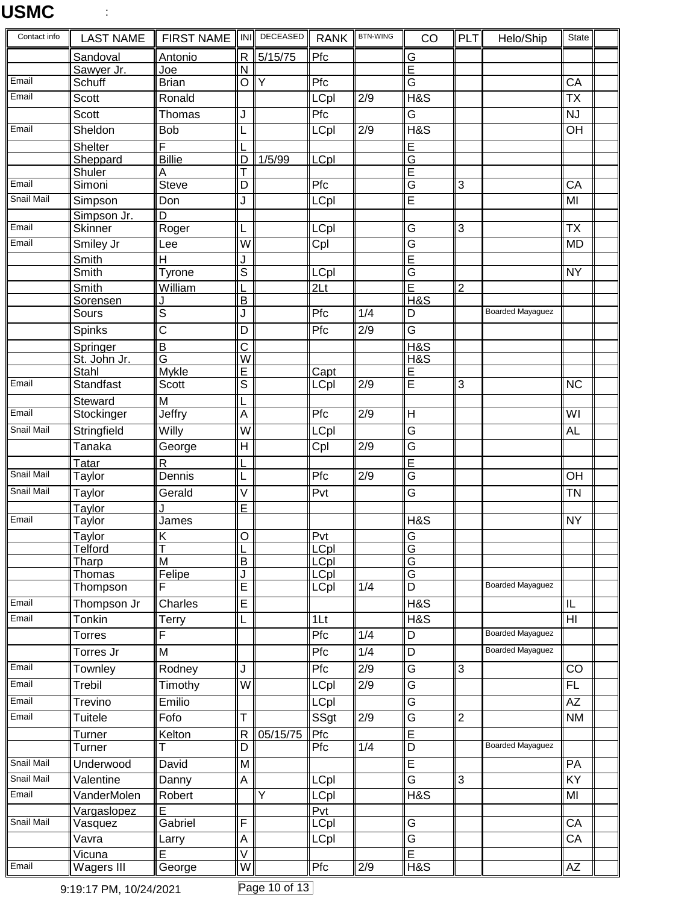| Contact info | <b>LAST NAME</b>  | <b>FIRST NAME</b>      | <b>INI</b>                   | DECEASED | <b>RANK</b>                | <b>BTN-WING</b>  | CO                      | PLT            | Helo/Ship               | <b>State</b>             |  |
|--------------|-------------------|------------------------|------------------------------|----------|----------------------------|------------------|-------------------------|----------------|-------------------------|--------------------------|--|
|              | Sandoval          | Antonio                | $\overline{\mathsf{R}}$      | 5/15/75  | Pfc                        |                  | $\overline{G}$          |                |                         |                          |  |
|              | Sawyer Jr.        | Joe                    | N                            |          |                            |                  | Ē                       |                |                         |                          |  |
| Email        | Schuff            | <b>Brian</b>           | Ο                            | Υ        | Pfc                        |                  | G                       |                |                         | CA                       |  |
| Email        | Scott             | Ronald                 |                              |          | <b>LCpl</b>                | 2/9              | <b>H&amp;S</b>          |                |                         | $\overline{\mathsf{TX}}$ |  |
|              | <b>Scott</b>      | Thomas                 | J                            |          | Pfc                        |                  | $\overline{G}$          |                |                         | <b>NJ</b>                |  |
| Email        | Sheldon           | <b>Bob</b>             | L                            |          | <b>LCpl</b>                | $\overline{2/9}$ | <b>H&amp;S</b>          |                |                         | OH                       |  |
|              | <b>Shelter</b>    | F                      |                              |          |                            |                  | E                       |                |                         |                          |  |
|              | Sheppard          | <b>Billie</b>          | D                            | 1/5/99   | LCpl                       |                  | $\overline{G}$          |                |                         |                          |  |
|              | Shuler            | Α                      |                              |          |                            |                  | E                       |                |                         |                          |  |
| Email        | Simoni            | <b>Steve</b>           | D                            |          | Pfc                        |                  | $\overline{G}$          | 3              |                         | CA                       |  |
| Snail Mail   | Simpson           | Don                    | J                            |          | <b>LCpl</b>                |                  | E                       |                |                         | MI                       |  |
|              | Simpson Jr.       | D                      |                              |          |                            |                  |                         |                |                         |                          |  |
| Email        | <b>Skinner</b>    | Roger                  | L                            |          | <b>LCpl</b>                |                  | G                       | 3              |                         | <b>TX</b>                |  |
| Email        | Smiley Jr         | Lee                    | $\overline{W}$               |          | Cpl                        |                  | G                       |                |                         | <b>MD</b>                |  |
|              | Smith             | $\mathsf{H}$           | J                            |          |                            |                  | $\overline{\mathsf{E}}$ |                |                         |                          |  |
|              | Smith             | Tyrone                 | $\overline{s}$               |          | <b>LCpl</b>                |                  | $\overline{G}$          |                |                         | <b>NY</b>                |  |
|              | Smith             | William                |                              |          | 2 <sub>Lt</sub>            |                  | $\overline{\mathsf{E}}$ | $\overline{2}$ |                         |                          |  |
|              | Sorensen          |                        | B                            |          |                            |                  | $H\&S$                  |                |                         |                          |  |
|              | Sours             | $\overline{s}$         | J                            |          | Pfc                        | 1/4              | D                       |                | <b>Boarded Mayaguez</b> |                          |  |
|              | Spinks            | $\overline{\text{c}}$  | D                            |          | Pfc                        | 2/9              | G                       |                |                         |                          |  |
|              | Springer          | B                      | $\overline{\text{c}}$        |          |                            |                  | H&S                     |                |                         |                          |  |
|              | St. John Jr.      | $\overline{G}$         | $\overline{\mathsf{W}}$      |          |                            |                  | H&S                     |                |                         |                          |  |
|              | Stahl             | Mykle                  | E                            |          | Capt                       |                  | $\overline{E}$          |                |                         |                          |  |
| Email        | Standfast         | Scott                  | $\overline{\mathsf{s}}$      |          | <b>LCpl</b>                | 2/9              | E                       | 3              |                         | <b>NC</b>                |  |
|              | Steward           | $\overline{M}$         |                              |          |                            |                  |                         |                |                         |                          |  |
| Email        | Stockinger        | Jeffry                 | A                            |          | Pfc                        | 2/9              | H                       |                |                         | WI                       |  |
| Snail Mail   | Stringfield       | Willy                  | $\overline{\mathsf{W}}$      |          | <b>LCpl</b>                |                  | G                       |                |                         | <b>AL</b>                |  |
|              | Tanaka            | George                 | H                            |          | Cpl                        | 2/9              | G                       |                |                         |                          |  |
|              |                   |                        |                              |          |                            |                  |                         |                |                         |                          |  |
| Snail Mail   | Tatar             | $\mathsf{R}$<br>Dennis |                              |          | Pfc                        | 2/9              | Ē<br>$\overline{G}$     |                |                         | $\overline{OH}$          |  |
|              | Taylor            |                        | L                            |          |                            |                  |                         |                |                         |                          |  |
| Snail Mail   | Taylor            | Gerald                 | V                            |          | Pvt                        |                  | G                       |                |                         | <b>TN</b>                |  |
|              | Taylor            |                        | Ē                            |          |                            |                  |                         |                |                         |                          |  |
| Email        | Taylor            | James                  |                              |          |                            |                  | H&S                     |                |                         | <b>NY</b>                |  |
|              | Taylor            | K                      | ۰Ō                           |          | Pvt                        |                  | G                       |                |                         |                          |  |
|              | <b>Telford</b>    | T<br>M                 | $\overline{B}$               |          | <b>LCpl</b>                |                  | $\overline{G}$<br>G     |                |                         |                          |  |
|              | Tharp<br>Thomas   | Felipe                 | J                            |          | <b>LCpl</b><br><b>LCpl</b> |                  | $\overline{G}$          |                |                         |                          |  |
|              | Thompson          | F                      | E                            |          | LCpl                       | 1/4              | D                       |                | <b>Boarded Mayaquez</b> |                          |  |
| Email        | Thompson Jr       | Charles                | E                            |          |                            |                  | <b>H&amp;S</b>          |                |                         | IL                       |  |
| Email        | Tonkin            |                        |                              |          | 1 <sup>L</sup>             |                  | <b>H&amp;S</b>          |                |                         | $\overline{H}$           |  |
|              |                   | Terry                  | L                            |          |                            |                  |                         |                | <b>Boarded Mayaguez</b> |                          |  |
|              | Torres            | F                      |                              |          | Pfc                        | 1/4              | D                       |                |                         |                          |  |
|              | Torres Jr         | M                      |                              |          | Pfc                        | 1/4              | D                       |                | <b>Boarded Mayaguez</b> |                          |  |
| Email        | Townley           | Rodney                 | J                            |          | Pfc                        | 2/9              | $\overline{G}$          | 3              |                         | CO                       |  |
| Email        | Trebil            | Timothy                | W                            |          | <b>LCpl</b>                | 2/9              | G                       |                |                         | <b>FL</b>                |  |
| Email        | Trevino           | Emilio                 |                              |          | <b>LCpl</b>                |                  | G                       |                |                         | AZ                       |  |
| Email        | Tuitele           | Fofo                   | Т                            |          | SSgt                       | 2/9              | $\overline{G}$          | $\overline{2}$ |                         | <b>NM</b>                |  |
|              |                   |                        |                              |          | Pfc                        |                  | E                       |                |                         |                          |  |
|              | Turner<br>Turner  | Kelton                 | $\overline{\mathsf{R}}$<br>D | 05/15/75 | Pfc                        | 1/4              | D                       |                | <b>Boarded Mayaguez</b> |                          |  |
| Snail Mail   |                   |                        |                              |          |                            |                  |                         |                |                         |                          |  |
|              | Underwood         | David                  | M                            |          |                            |                  | E                       |                |                         | PA                       |  |
| Snail Mail   | Valentine         | Danny                  | A                            |          | <b>LCpl</b>                |                  | $\overline{G}$          | 3              |                         | KY                       |  |
| Email        | VanderMolen       | Robert                 |                              | Y        | <b>LCpl</b>                |                  | H&S                     |                |                         | MI                       |  |
|              | Vargaslopez       | E                      |                              |          | Pvt                        |                  |                         |                |                         |                          |  |
| Snail Mail   | Vasquez           | Gabriel                | F                            |          | <b>LCpl</b>                |                  | G                       |                |                         | CA                       |  |
|              | Vavra             | Larry                  | A                            |          | <b>LCpl</b>                |                  | $\overline{G}$          |                |                         | CA                       |  |
|              | Vicuna            | Ē                      | $\overline{\mathsf{v}}$      |          |                            |                  | $\overline{\mathsf{E}}$ |                |                         |                          |  |
| Email        | <b>Wagers III</b> | George                 | $\overline{\mathsf{w}}$      |          | Pfc                        | 2/9              | HAS                     |                |                         | AZ                       |  |

9:19:17 PM, 10/24/2021 Page 10 of 13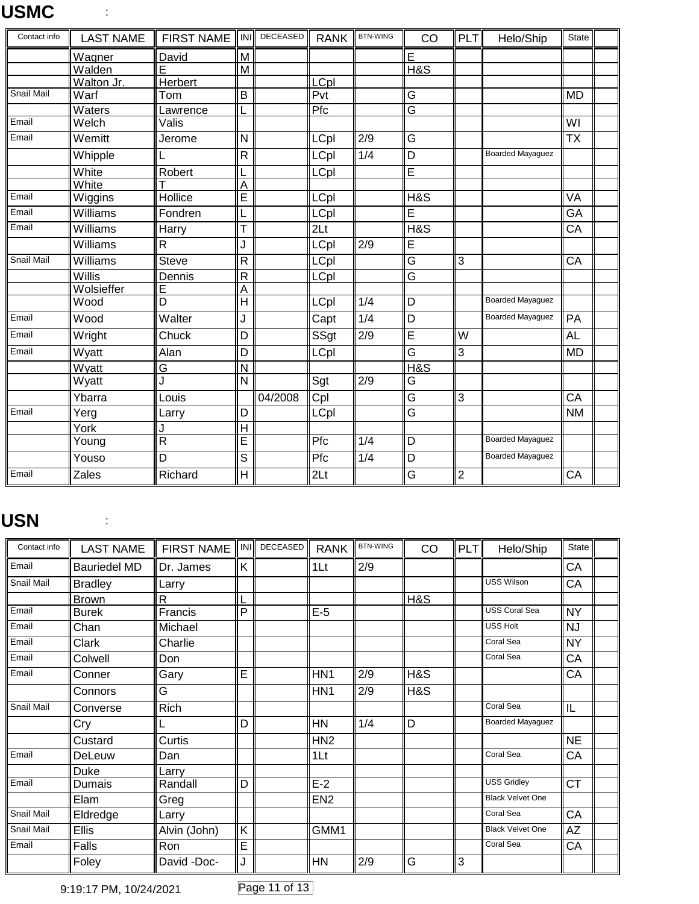| Contact info      | <b>LAST NAME</b> | <b>FIRST NAME</b>       | <b>INI</b>              | DECEASED | <b>RANK</b>     | <b>BTN-WING</b> | CO                      | PLT            | Helo/Ship               | <b>State</b>             |  |
|-------------------|------------------|-------------------------|-------------------------|----------|-----------------|-----------------|-------------------------|----------------|-------------------------|--------------------------|--|
|                   | Wagner           | David                   | M                       |          |                 |                 | E                       |                |                         |                          |  |
|                   | Walden           | E                       | $\overline{M}$          |          |                 |                 | $H\&S$                  |                |                         |                          |  |
|                   | Walton Jr.       | Herbert                 |                         |          | LCpl            |                 |                         |                |                         |                          |  |
| <b>Snail Mail</b> | Warf             | Tom                     | $\overline{B}$          |          | Pvt             |                 | $\overline{\mathsf{G}}$ |                |                         | <b>MD</b>                |  |
|                   | Waters           | Lawrence                |                         |          | Pfc             |                 | G                       |                |                         |                          |  |
| Email             | Welch            | Valis                   |                         |          |                 |                 |                         |                |                         | WI                       |  |
| Email             | Wemitt           | Jerome                  | N                       |          | LCpl            | 2/9             | $\overline{\mathsf{G}}$ |                |                         | $\overline{\mathsf{TX}}$ |  |
|                   | Whipple          | L                       | $\overline{\mathsf{R}}$ |          | <b>LCpl</b>     | 1/4             | $\overline{\mathsf{D}}$ |                | <b>Boarded Mayaguez</b> |                          |  |
|                   | White            | Robert                  | L                       |          | <b>LCpl</b>     |                 | E                       |                |                         |                          |  |
|                   | White            |                         | $\overline{A}$          |          |                 |                 |                         |                |                         |                          |  |
| $E$ mail          | Wiggins          | Hollice                 | E                       |          | LCpl            |                 | H&S                     |                |                         | <b>VA</b>                |  |
| Email             | Williams         | Fondren                 | L                       |          | LCpl            |                 | E                       |                |                         | GA                       |  |
| Email             | Williams         | Harry                   | T                       |          | 2 <sub>Lt</sub> |                 | H&S                     |                |                         | CA                       |  |
|                   | Williams         | R                       | J                       |          | LCpl            | 2/9             | E                       |                |                         |                          |  |
| Snail Mail        | Williams         | <b>Steve</b>            | $\overline{R}$          |          | <b>LCpl</b>     |                 | G                       | 3              |                         | CA                       |  |
|                   | Willis           | Dennis                  | $\overline{R}$          |          | LCpl            |                 | G                       |                |                         |                          |  |
|                   | Wolsieffer       | Е                       | A                       |          |                 |                 |                         |                |                         |                          |  |
|                   | Wood             | D                       | $\overline{\mathsf{H}}$ |          | <b>LCpl</b>     | 1/4             | D                       |                | <b>Boarded Mayaguez</b> |                          |  |
| Email             | Wood             | Walter                  | J                       |          | Capt            | 1/4             | $\overline{D}$          |                | <b>Boarded Mayaguez</b> | PA                       |  |
| Email             | Wright           | Chuck                   | $\overline{D}$          |          | SSgt            | 2/9             | Ē                       | W              |                         | <b>AL</b>                |  |
| Email             | Wyatt            | Alan                    | D                       |          | LCpl            |                 | G                       | 3              |                         | <b>MD</b>                |  |
|                   | Wyatt            | G                       | $\overline{\mathsf{N}}$ |          |                 |                 | H&S                     |                |                         |                          |  |
|                   | Wyatt            | J                       | N                       |          | Sgt             | 2/9             | G                       |                |                         |                          |  |
|                   | Ybarra           | Louis                   |                         | 04/2008  | Cpl             |                 | $\overline{\mathsf{G}}$ | $\overline{3}$ |                         | CA                       |  |
| Email             | Yerg             | Larry                   | D                       |          | LCpl            |                 | G                       |                |                         | <b>NM</b>                |  |
|                   | York             | J                       | $\overline{H}$          |          |                 |                 |                         |                |                         |                          |  |
|                   | Young            | $\overline{\mathsf{R}}$ | $\overline{E}$          |          | Pfc             | 1/4             | D                       |                | <b>Boarded Mayaguez</b> |                          |  |
|                   | Youso            | D                       | $\overline{s}$          |          | Pfc             | 1/4             | $\overline{D}$          |                | <b>Boarded Mayaguez</b> |                          |  |
| Email             | Zales            | Richard                 | H                       |          | 2 <sub>Lt</sub> |                 | G                       | $\overline{2}$ |                         | CA                       |  |

#### **USN** :

| Contact info | <b>LAST NAME</b>    | FIRST NAME   INI |     | DECEASED | <b>RANK</b>     | <b>BTN-WING</b> | CO  | PLT | Helo/Ship               | <b>State</b> |
|--------------|---------------------|------------------|-----|----------|-----------------|-----------------|-----|-----|-------------------------|--------------|
| Email        | <b>Bauriedel MD</b> | Dr. James        | K   |          | 1 <sub>It</sub> | 2/9             |     |     |                         | CA           |
| Snail Mail   | <b>Bradley</b>      | Larry            |     |          |                 |                 |     |     | <b>USS Wilson</b>       | CA           |
|              | <b>Brown</b>        | R                |     |          |                 |                 | H&S |     |                         |              |
| Email        | <b>Burek</b>        | Francis          | P   |          | $E-5$           |                 |     |     | USS Coral Sea           | <b>NY</b>    |
| Email        | Chan                | Michael          |     |          |                 |                 |     |     | <b>USS Holt</b>         | <b>NJ</b>    |
| Email        | Clark               | Charlie          |     |          |                 |                 |     |     | Coral Sea               | <b>NY</b>    |
| Email        | Colwell             | Don              |     |          |                 |                 |     |     | Coral Sea               | CA           |
| Email        | Conner              | Gary             | E   |          | HN <sub>1</sub> | 2/9             | H&S |     |                         | CA           |
|              | Connors             | G                |     |          | HN <sub>1</sub> | 2/9             | H&S |     |                         |              |
| Snail Mail   | Converse            | Rich             |     |          |                 |                 |     |     | Coral Sea               | IL           |
|              | Cry                 |                  | D   |          | HN              | 1/4             | D   |     | Boarded Mayaguez        |              |
|              | Custard             | Curtis           |     |          | HN <sub>2</sub> |                 |     |     |                         | <b>NE</b>    |
| Email        | DeLeuw              | Dan              |     |          | 1Lt             |                 |     |     | Coral Sea               | CA           |
|              | Duke                | Larry            |     |          |                 |                 |     |     |                         |              |
| Email        | Dumais              | Randall          | D   |          | $E-2$           |                 |     |     | <b>USS Gridley</b>      | <b>CT</b>    |
|              | Elam                | Greg             |     |          | EN <sub>2</sub> |                 |     |     | <b>Black Velvet One</b> |              |
| Snail Mail   | Eldredge            | Larry            |     |          |                 |                 |     |     | Coral Sea               | CA           |
| Snail Mail   | <b>Ellis</b>        | Alvin (John)     | Κ   |          | GMM1            |                 |     |     | <b>Black Velvet One</b> | AZ           |
| Email        | Falls               | Ron              | E   |          |                 |                 |     |     | Coral Sea               | CA           |
|              | Foley               | David -Doc-      | ۰J. |          | HN              | 2/9             | G   | 3   |                         |              |

9:19:17 PM, 10/24/2021 Page 11 of 13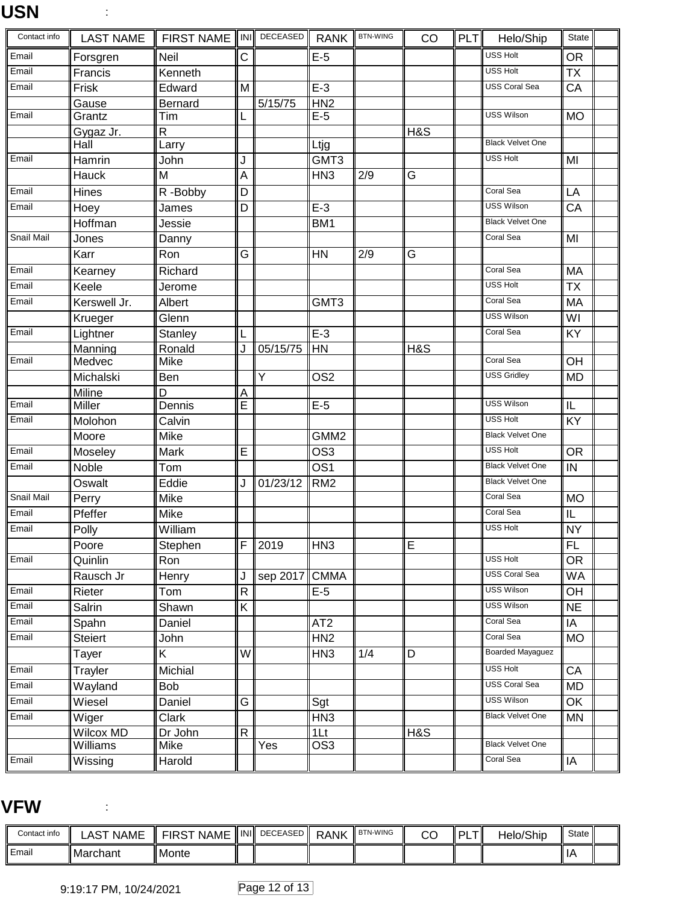### **USN** :

| Contact info | <b>LAST NAME</b> | FIRST NAME IN PECEASED RANK |                         |                |                  | <b>BTN-WING</b> | CO  | PLT | Helo/Ship               | State           |  |
|--------------|------------------|-----------------------------|-------------------------|----------------|------------------|-----------------|-----|-----|-------------------------|-----------------|--|
| Email        | Forsgren         | Neil                        | C                       |                | $E-5$            |                 |     |     | <b>USS Holt</b>         | <b>OR</b>       |  |
| Email        | Francis          | Kenneth                     |                         |                |                  |                 |     |     | <b>USS Holt</b>         | <b>TX</b>       |  |
| Email        | Frisk            | Edward                      | M                       |                | $E-3$            |                 |     |     | <b>USS Coral Sea</b>    | CA              |  |
|              | Gause            | <b>Bernard</b>              |                         | 5/15/75        | HN2              |                 |     |     |                         |                 |  |
| Email        | Grantz           | Tim                         | L                       |                | $E-5$            |                 |     |     | <b>USS Wilson</b>       | <b>MO</b>       |  |
|              | Gygaz Jr.        | $\mathsf{R}$                |                         |                |                  |                 | H&S |     |                         |                 |  |
|              | Hall             | Larry                       |                         |                | Ltjg             |                 |     |     | <b>Black Velvet One</b> |                 |  |
| Email        | Hamrin           | John                        | J                       |                | GMT3             |                 |     |     | <b>USS Holt</b>         | MI              |  |
|              | <b>Hauck</b>     | M                           | A                       |                | HN <sub>3</sub>  | 2/9             | G   |     |                         |                 |  |
| Email        | Hines            | R-Bobby                     | $\overline{D}$          |                |                  |                 |     |     | Coral Sea               | LA              |  |
| Email        | Hoey             | James                       | D                       |                | $E-3$            |                 |     |     | <b>USS Wilson</b>       | $\overline{CA}$ |  |
|              | Hoffman          | Jessie                      |                         |                | BM <sub>1</sub>  |                 |     |     | <b>Black Velvet One</b> |                 |  |
| Snail Mail   | Jones            | Danny                       |                         |                |                  |                 |     |     | Coral Sea               | MI              |  |
|              | Karr             | Ron                         | G                       |                | <b>HN</b>        | 2/9             | G   |     |                         |                 |  |
| Email        | Kearney          | Richard                     |                         |                |                  |                 |     |     | Coral Sea               | MA              |  |
| Email        | Keele            | Jerome                      |                         |                |                  |                 |     |     | <b>USS Holt</b>         | <b>TX</b>       |  |
| Email        | Kerswell Jr.     | Albert                      |                         |                | GMT3             |                 |     |     | Coral Sea               | <b>MA</b>       |  |
|              | Krueger          | Glenn                       |                         |                |                  |                 |     |     | <b>USS Wilson</b>       | WI              |  |
| Email        | Lightner         | <b>Stanley</b>              |                         |                | $E-3$            |                 |     |     | Coral Sea               | KY              |  |
|              | Manning          | Ronald                      | J                       | 05/15/75       | HN               |                 | H&S |     |                         |                 |  |
| Email        | Medvec           | Mike                        |                         |                |                  |                 |     |     | Coral Sea               | OH              |  |
|              | Michalski        | Ben                         |                         | $\overline{Y}$ | OS <sub>2</sub>  |                 |     |     | <b>USS Gridley</b>      | <b>MD</b>       |  |
|              | Miline           | D                           | $\overline{A}$          |                |                  |                 |     |     | <b>USS Wilson</b>       |                 |  |
| Email        | Miller           | Dennis                      | Ē                       |                | $E-5$            |                 |     |     | <b>USS Holt</b>         | IL              |  |
| Email        | Molohon          | Calvin                      |                         |                |                  |                 |     |     | <b>Black Velvet One</b> | KY              |  |
| Email        | Moore            | Mike                        |                         |                | GMM <sub>2</sub> |                 |     |     | USS Holt                |                 |  |
|              | Moseley          | Mark                        | E                       |                | OS <sub>3</sub>  |                 |     |     | <b>Black Velvet One</b> | <b>OR</b>       |  |
| Email        | <b>Noble</b>     | Tom                         |                         |                | $\overline{OS1}$ |                 |     |     | <b>Black Velvet One</b> | IN              |  |
|              | Oswalt           | Eddie                       | J                       | 01/23/12       | RM <sub>2</sub>  |                 |     |     | Coral Sea               |                 |  |
| Snail Mail   | Perry            | Mike                        |                         |                |                  |                 |     |     | Coral Sea               | <b>MO</b>       |  |
| Email        | Pfeffer          | <b>Mike</b>                 |                         |                |                  |                 |     |     |                         | IL              |  |
| Email        | Polly            | William                     |                         |                |                  |                 |     |     | <b>USS Holt</b>         | <b>NY</b>       |  |
|              | Poore            | Stephen                     | F                       | 2019           | HN3              |                 | E   |     |                         | FL              |  |
| Email        | Quinlin          | Ron                         |                         |                |                  |                 |     |     | <b>USS Holt</b>         | <b>OR</b>       |  |
|              | Rausch Jr        | Henry                       | J                       | sep 2017       | <b>CMMA</b>      |                 |     |     | <b>USS Coral Sea</b>    | <b>WA</b>       |  |
| Email        | Rieter           | Tom                         | $\overline{R}$          |                | $E-5$            |                 |     |     | <b>USS Wilson</b>       | OH              |  |
| Email        | Salrin           | Shawn                       | $\overline{K}$          |                |                  |                 |     |     | <b>USS Wilson</b>       | <b>NE</b>       |  |
| Email        | Spahn            | <b>Daniel</b>               |                         |                | AT <sub>2</sub>  |                 |     |     | Coral Sea               | $\overline{IA}$ |  |
| Email        | Steiert          | John                        |                         |                | HN2              |                 |     |     | Coral Sea               | <b>MO</b>       |  |
|              | Tayer            | Κ                           | W                       |                | HN <sub>3</sub>  | 1/4             | D   |     | <b>Boarded Mayaguez</b> |                 |  |
| Email        | Trayler          | Michial                     |                         |                |                  |                 |     |     | <b>USS Holt</b>         | CA              |  |
| Email        | Wayland          | Bob                         |                         |                |                  |                 |     |     | <b>USS Coral Sea</b>    | MD              |  |
| Email        | Wiesel           | Daniel                      | $\overline{\mathsf{G}}$ |                | Sgt              |                 |     |     | <b>USS Wilson</b>       | OK              |  |
| Email        | Wiger            | Clark                       |                         |                | HN <sub>3</sub>  |                 |     |     | <b>Black Velvet One</b> | MN              |  |
|              | <b>Wilcox MD</b> | Dr John                     | $\overline{\mathsf{R}}$ |                | 1 <sub>Lt</sub>  |                 | H&S |     |                         |                 |  |
|              | Williams         | Mike                        |                         | Yes            | OS <sub>3</sub>  |                 |     |     | <b>Black Velvet One</b> |                 |  |
| Email        | Wissing          | Harold                      |                         |                |                  |                 |     |     | Coral Sea               | IA              |  |

#### **VFW** :

| Contact info | NAME<br>.AS | <b>NAME</b><br>⊡K | ll INI ll | DECEASED | <b>RANK</b> | <b>BTN-WING</b> | ~~<br>◡ | וח<br>- | Helo/Ship | State |  |
|--------------|-------------|-------------------|-----------|----------|-------------|-----------------|---------|---------|-----------|-------|--|
| Email        | l Marchant  | Monte             |           |          |             |                 |         |         |           | ΙA    |  |

9:19:17 PM, 10/24/2021 Page 12 of 13